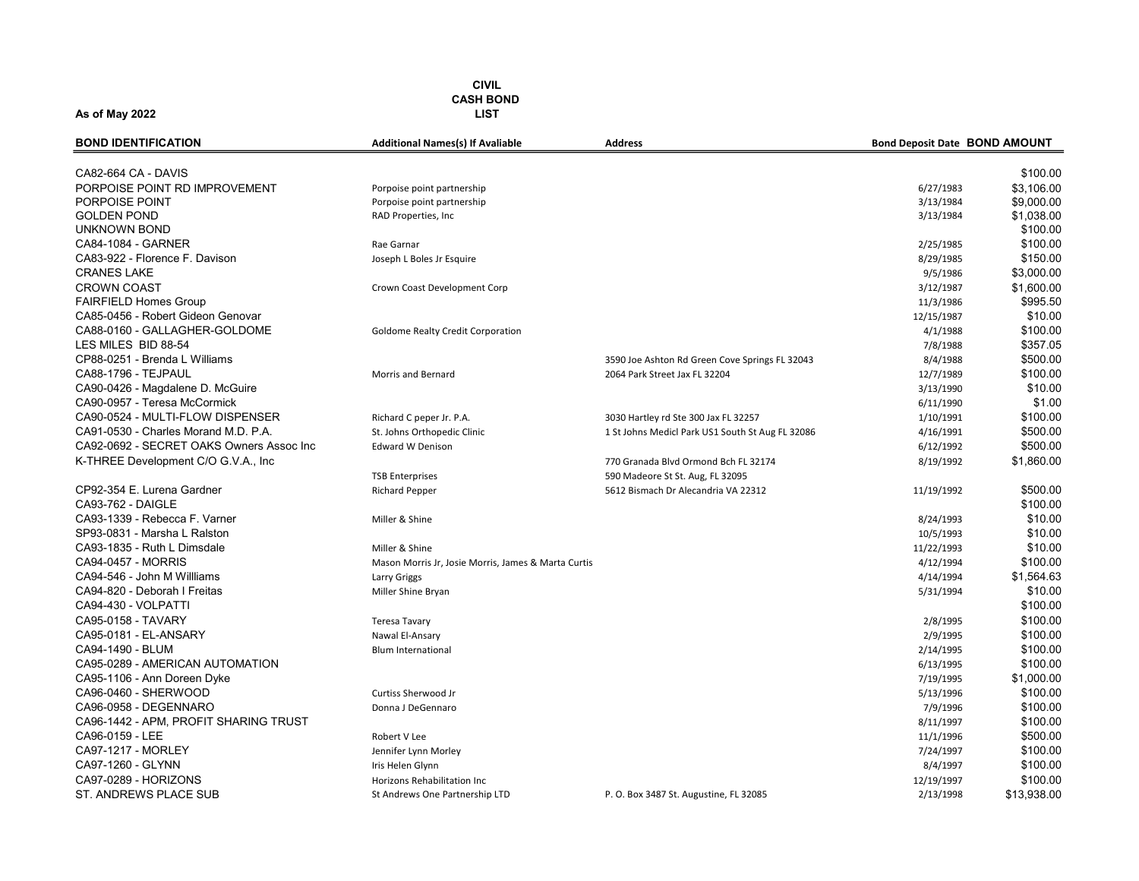| \$100.00<br>CA82-664 CA - DAVIS<br>PORPOISE POINT RD IMPROVEMENT<br>\$3,106.00<br>6/27/1983<br>Porpoise point partnership<br>\$9,000.00<br>PORPOISE POINT<br>3/13/1984<br>Porpoise point partnership<br><b>GOLDEN POND</b><br>RAD Properties, Inc<br>3/13/1984<br>\$1,038.00<br>UNKNOWN BOND<br>\$100.00<br>CA84-1084 - GARNER<br>\$100.00<br>Rae Garnar<br>2/25/1985<br>CA83-922 - Florence F. Davison<br>\$150.00<br>Joseph L Boles Jr Esquire<br>8/29/1985<br>\$3,000.00<br><b>CRANES LAKE</b><br>9/5/1986<br><b>CROWN COAST</b><br>\$1,600.00<br>3/12/1987<br>Crown Coast Development Corp<br><b>FAIRFIELD Homes Group</b><br>\$995.50<br>11/3/1986<br>CA85-0456 - Robert Gideon Genovar<br>\$10.00<br>12/15/1987<br>CA88-0160 - GALLAGHER-GOLDOME<br>\$100.00<br><b>Goldome Realty Credit Corporation</b><br>4/1/1988<br>LES MILES BID 88-54<br>\$357.05<br>7/8/1988<br>\$500.00<br>CP88-0251 - Brenda L Williams<br>8/4/1988<br>3590 Joe Ashton Rd Green Cove Springs FL 32043<br>CA88-1796 - TEJPAUL<br>\$100.00<br>2064 Park Street Jax FL 32204<br>12/7/1989<br>Morris and Bernard<br>CA90-0426 - Magdalene D. McGuire<br>\$10.00<br>3/13/1990<br>CA90-0957 - Teresa McCormick<br>\$1.00<br>6/11/1990<br>CA90-0524 - MULTI-FLOW DISPENSER<br>\$100.00<br>Richard C peper Jr. P.A.<br>3030 Hartley rd Ste 300 Jax FL 32257<br>1/10/1991<br>CA91-0530 - Charles Morand M.D. P.A.<br>\$500.00<br>St. Johns Orthopedic Clinic<br>1 St Johns Medicl Park US1 South St Aug FL 32086<br>4/16/1991<br>CA92-0692 - SECRET OAKS Owners Assoc Inc<br>\$500.00<br><b>Edward W Denison</b><br>6/12/1992<br>K-THREE Development C/O G.V.A., Inc.<br>\$1,860.00<br>8/19/1992<br>770 Granada Blvd Ormond Bch FL 32174<br><b>TSB Enterprises</b><br>590 Madeore St St. Aug, FL 32095<br>CP92-354 E. Lurena Gardner<br>\$500.00<br><b>Richard Pepper</b><br>5612 Bismach Dr Alecandria VA 22312<br>11/19/1992<br>CA93-762 - DAIGLE<br>\$100.00<br>CA93-1339 - Rebecca F. Varner<br>\$10.00<br>Miller & Shine<br>8/24/1993<br>SP93-0831 - Marsha L Ralston<br>\$10.00<br>10/5/1993<br>CA93-1835 - Ruth L Dimsdale<br>\$10.00<br>Miller & Shine<br>11/22/1993<br>CA94-0457 - MORRIS<br>\$100.00<br>4/12/1994<br>Mason Morris Jr, Josie Morris, James & Marta Curtis<br>CA94-546 - John M Willliams<br>\$1,564.63<br>4/14/1994<br><b>Larry Griggs</b><br>CA94-820 - Deborah I Freitas<br>\$10.00<br>5/31/1994<br>Miller Shine Bryan<br>CA94-430 - VOLPATTI<br>\$100.00<br>CA95-0158 - TAVARY<br>\$100.00<br>2/8/1995<br><b>Teresa Tavary</b><br>\$100.00<br>CA95-0181 - EL-ANSARY<br>2/9/1995<br>Nawal El-Ansary<br>CA94-1490 - BLUM<br>\$100.00<br>2/14/1995<br><b>Blum International</b><br>CA95-0289 - AMERICAN AUTOMATION<br>\$100.00<br>6/13/1995<br>CA95-1106 - Ann Doreen Dyke<br>\$1,000.00<br>7/19/1995<br>CA96-0460 - SHERWOOD<br>\$100.00<br>Curtiss Sherwood Jr<br>5/13/1996<br>CA96-0958 - DEGENNARO<br>\$100.00<br>Donna J DeGennaro<br>7/9/1996<br>CA96-1442 - APM, PROFIT SHARING TRUST<br>\$100.00<br>8/11/1997<br>CA96-0159 - LEE<br>\$500.00<br>Robert V Lee<br>11/1/1996<br>CA97-1217 - MORLEY<br>\$100.00<br>Jennifer Lynn Morley<br>7/24/1997<br>CA97-1260 - GLYNN<br>\$100.00<br>Iris Helen Glynn<br>8/4/1997<br>CA97-0289 - HORIZONS<br>\$100.00<br>Horizons Rehabilitation Inc<br>12/19/1997 | <b>BOND IDENTIFICATION</b> | <b>Additional Names(s) If Avaliable</b> | <b>Address</b> | <b>Bond Deposit Date BOND AMOUNT</b> |  |
|-----------------------------------------------------------------------------------------------------------------------------------------------------------------------------------------------------------------------------------------------------------------------------------------------------------------------------------------------------------------------------------------------------------------------------------------------------------------------------------------------------------------------------------------------------------------------------------------------------------------------------------------------------------------------------------------------------------------------------------------------------------------------------------------------------------------------------------------------------------------------------------------------------------------------------------------------------------------------------------------------------------------------------------------------------------------------------------------------------------------------------------------------------------------------------------------------------------------------------------------------------------------------------------------------------------------------------------------------------------------------------------------------------------------------------------------------------------------------------------------------------------------------------------------------------------------------------------------------------------------------------------------------------------------------------------------------------------------------------------------------------------------------------------------------------------------------------------------------------------------------------------------------------------------------------------------------------------------------------------------------------------------------------------------------------------------------------------------------------------------------------------------------------------------------------------------------------------------------------------------------------------------------------------------------------------------------------------------------------------------------------------------------------------------------------------------------------------------------------------------------------------------------------------------------------------------------------------------------------------------------------------------------------------------------------------------------------------------------------------------------------------------------------------------------------------------------------------------------------------------------------------------------------------------------------------------------------------------------------------------------------------------------------------------------------------------------------------------------------------------------------------------------------------------------------------------------------------------------------------------------------------------------------------------------------------|----------------------------|-----------------------------------------|----------------|--------------------------------------|--|
|                                                                                                                                                                                                                                                                                                                                                                                                                                                                                                                                                                                                                                                                                                                                                                                                                                                                                                                                                                                                                                                                                                                                                                                                                                                                                                                                                                                                                                                                                                                                                                                                                                                                                                                                                                                                                                                                                                                                                                                                                                                                                                                                                                                                                                                                                                                                                                                                                                                                                                                                                                                                                                                                                                                                                                                                                                                                                                                                                                                                                                                                                                                                                                                                                                                                                                           |                            |                                         |                |                                      |  |
|                                                                                                                                                                                                                                                                                                                                                                                                                                                                                                                                                                                                                                                                                                                                                                                                                                                                                                                                                                                                                                                                                                                                                                                                                                                                                                                                                                                                                                                                                                                                                                                                                                                                                                                                                                                                                                                                                                                                                                                                                                                                                                                                                                                                                                                                                                                                                                                                                                                                                                                                                                                                                                                                                                                                                                                                                                                                                                                                                                                                                                                                                                                                                                                                                                                                                                           |                            |                                         |                |                                      |  |
|                                                                                                                                                                                                                                                                                                                                                                                                                                                                                                                                                                                                                                                                                                                                                                                                                                                                                                                                                                                                                                                                                                                                                                                                                                                                                                                                                                                                                                                                                                                                                                                                                                                                                                                                                                                                                                                                                                                                                                                                                                                                                                                                                                                                                                                                                                                                                                                                                                                                                                                                                                                                                                                                                                                                                                                                                                                                                                                                                                                                                                                                                                                                                                                                                                                                                                           |                            |                                         |                |                                      |  |
|                                                                                                                                                                                                                                                                                                                                                                                                                                                                                                                                                                                                                                                                                                                                                                                                                                                                                                                                                                                                                                                                                                                                                                                                                                                                                                                                                                                                                                                                                                                                                                                                                                                                                                                                                                                                                                                                                                                                                                                                                                                                                                                                                                                                                                                                                                                                                                                                                                                                                                                                                                                                                                                                                                                                                                                                                                                                                                                                                                                                                                                                                                                                                                                                                                                                                                           |                            |                                         |                |                                      |  |
|                                                                                                                                                                                                                                                                                                                                                                                                                                                                                                                                                                                                                                                                                                                                                                                                                                                                                                                                                                                                                                                                                                                                                                                                                                                                                                                                                                                                                                                                                                                                                                                                                                                                                                                                                                                                                                                                                                                                                                                                                                                                                                                                                                                                                                                                                                                                                                                                                                                                                                                                                                                                                                                                                                                                                                                                                                                                                                                                                                                                                                                                                                                                                                                                                                                                                                           |                            |                                         |                |                                      |  |
|                                                                                                                                                                                                                                                                                                                                                                                                                                                                                                                                                                                                                                                                                                                                                                                                                                                                                                                                                                                                                                                                                                                                                                                                                                                                                                                                                                                                                                                                                                                                                                                                                                                                                                                                                                                                                                                                                                                                                                                                                                                                                                                                                                                                                                                                                                                                                                                                                                                                                                                                                                                                                                                                                                                                                                                                                                                                                                                                                                                                                                                                                                                                                                                                                                                                                                           |                            |                                         |                |                                      |  |
|                                                                                                                                                                                                                                                                                                                                                                                                                                                                                                                                                                                                                                                                                                                                                                                                                                                                                                                                                                                                                                                                                                                                                                                                                                                                                                                                                                                                                                                                                                                                                                                                                                                                                                                                                                                                                                                                                                                                                                                                                                                                                                                                                                                                                                                                                                                                                                                                                                                                                                                                                                                                                                                                                                                                                                                                                                                                                                                                                                                                                                                                                                                                                                                                                                                                                                           |                            |                                         |                |                                      |  |
|                                                                                                                                                                                                                                                                                                                                                                                                                                                                                                                                                                                                                                                                                                                                                                                                                                                                                                                                                                                                                                                                                                                                                                                                                                                                                                                                                                                                                                                                                                                                                                                                                                                                                                                                                                                                                                                                                                                                                                                                                                                                                                                                                                                                                                                                                                                                                                                                                                                                                                                                                                                                                                                                                                                                                                                                                                                                                                                                                                                                                                                                                                                                                                                                                                                                                                           |                            |                                         |                |                                      |  |
|                                                                                                                                                                                                                                                                                                                                                                                                                                                                                                                                                                                                                                                                                                                                                                                                                                                                                                                                                                                                                                                                                                                                                                                                                                                                                                                                                                                                                                                                                                                                                                                                                                                                                                                                                                                                                                                                                                                                                                                                                                                                                                                                                                                                                                                                                                                                                                                                                                                                                                                                                                                                                                                                                                                                                                                                                                                                                                                                                                                                                                                                                                                                                                                                                                                                                                           |                            |                                         |                |                                      |  |
|                                                                                                                                                                                                                                                                                                                                                                                                                                                                                                                                                                                                                                                                                                                                                                                                                                                                                                                                                                                                                                                                                                                                                                                                                                                                                                                                                                                                                                                                                                                                                                                                                                                                                                                                                                                                                                                                                                                                                                                                                                                                                                                                                                                                                                                                                                                                                                                                                                                                                                                                                                                                                                                                                                                                                                                                                                                                                                                                                                                                                                                                                                                                                                                                                                                                                                           |                            |                                         |                |                                      |  |
|                                                                                                                                                                                                                                                                                                                                                                                                                                                                                                                                                                                                                                                                                                                                                                                                                                                                                                                                                                                                                                                                                                                                                                                                                                                                                                                                                                                                                                                                                                                                                                                                                                                                                                                                                                                                                                                                                                                                                                                                                                                                                                                                                                                                                                                                                                                                                                                                                                                                                                                                                                                                                                                                                                                                                                                                                                                                                                                                                                                                                                                                                                                                                                                                                                                                                                           |                            |                                         |                |                                      |  |
|                                                                                                                                                                                                                                                                                                                                                                                                                                                                                                                                                                                                                                                                                                                                                                                                                                                                                                                                                                                                                                                                                                                                                                                                                                                                                                                                                                                                                                                                                                                                                                                                                                                                                                                                                                                                                                                                                                                                                                                                                                                                                                                                                                                                                                                                                                                                                                                                                                                                                                                                                                                                                                                                                                                                                                                                                                                                                                                                                                                                                                                                                                                                                                                                                                                                                                           |                            |                                         |                |                                      |  |
|                                                                                                                                                                                                                                                                                                                                                                                                                                                                                                                                                                                                                                                                                                                                                                                                                                                                                                                                                                                                                                                                                                                                                                                                                                                                                                                                                                                                                                                                                                                                                                                                                                                                                                                                                                                                                                                                                                                                                                                                                                                                                                                                                                                                                                                                                                                                                                                                                                                                                                                                                                                                                                                                                                                                                                                                                                                                                                                                                                                                                                                                                                                                                                                                                                                                                                           |                            |                                         |                |                                      |  |
|                                                                                                                                                                                                                                                                                                                                                                                                                                                                                                                                                                                                                                                                                                                                                                                                                                                                                                                                                                                                                                                                                                                                                                                                                                                                                                                                                                                                                                                                                                                                                                                                                                                                                                                                                                                                                                                                                                                                                                                                                                                                                                                                                                                                                                                                                                                                                                                                                                                                                                                                                                                                                                                                                                                                                                                                                                                                                                                                                                                                                                                                                                                                                                                                                                                                                                           |                            |                                         |                |                                      |  |
|                                                                                                                                                                                                                                                                                                                                                                                                                                                                                                                                                                                                                                                                                                                                                                                                                                                                                                                                                                                                                                                                                                                                                                                                                                                                                                                                                                                                                                                                                                                                                                                                                                                                                                                                                                                                                                                                                                                                                                                                                                                                                                                                                                                                                                                                                                                                                                                                                                                                                                                                                                                                                                                                                                                                                                                                                                                                                                                                                                                                                                                                                                                                                                                                                                                                                                           |                            |                                         |                |                                      |  |
|                                                                                                                                                                                                                                                                                                                                                                                                                                                                                                                                                                                                                                                                                                                                                                                                                                                                                                                                                                                                                                                                                                                                                                                                                                                                                                                                                                                                                                                                                                                                                                                                                                                                                                                                                                                                                                                                                                                                                                                                                                                                                                                                                                                                                                                                                                                                                                                                                                                                                                                                                                                                                                                                                                                                                                                                                                                                                                                                                                                                                                                                                                                                                                                                                                                                                                           |                            |                                         |                |                                      |  |
|                                                                                                                                                                                                                                                                                                                                                                                                                                                                                                                                                                                                                                                                                                                                                                                                                                                                                                                                                                                                                                                                                                                                                                                                                                                                                                                                                                                                                                                                                                                                                                                                                                                                                                                                                                                                                                                                                                                                                                                                                                                                                                                                                                                                                                                                                                                                                                                                                                                                                                                                                                                                                                                                                                                                                                                                                                                                                                                                                                                                                                                                                                                                                                                                                                                                                                           |                            |                                         |                |                                      |  |
|                                                                                                                                                                                                                                                                                                                                                                                                                                                                                                                                                                                                                                                                                                                                                                                                                                                                                                                                                                                                                                                                                                                                                                                                                                                                                                                                                                                                                                                                                                                                                                                                                                                                                                                                                                                                                                                                                                                                                                                                                                                                                                                                                                                                                                                                                                                                                                                                                                                                                                                                                                                                                                                                                                                                                                                                                                                                                                                                                                                                                                                                                                                                                                                                                                                                                                           |                            |                                         |                |                                      |  |
|                                                                                                                                                                                                                                                                                                                                                                                                                                                                                                                                                                                                                                                                                                                                                                                                                                                                                                                                                                                                                                                                                                                                                                                                                                                                                                                                                                                                                                                                                                                                                                                                                                                                                                                                                                                                                                                                                                                                                                                                                                                                                                                                                                                                                                                                                                                                                                                                                                                                                                                                                                                                                                                                                                                                                                                                                                                                                                                                                                                                                                                                                                                                                                                                                                                                                                           |                            |                                         |                |                                      |  |
|                                                                                                                                                                                                                                                                                                                                                                                                                                                                                                                                                                                                                                                                                                                                                                                                                                                                                                                                                                                                                                                                                                                                                                                                                                                                                                                                                                                                                                                                                                                                                                                                                                                                                                                                                                                                                                                                                                                                                                                                                                                                                                                                                                                                                                                                                                                                                                                                                                                                                                                                                                                                                                                                                                                                                                                                                                                                                                                                                                                                                                                                                                                                                                                                                                                                                                           |                            |                                         |                |                                      |  |
|                                                                                                                                                                                                                                                                                                                                                                                                                                                                                                                                                                                                                                                                                                                                                                                                                                                                                                                                                                                                                                                                                                                                                                                                                                                                                                                                                                                                                                                                                                                                                                                                                                                                                                                                                                                                                                                                                                                                                                                                                                                                                                                                                                                                                                                                                                                                                                                                                                                                                                                                                                                                                                                                                                                                                                                                                                                                                                                                                                                                                                                                                                                                                                                                                                                                                                           |                            |                                         |                |                                      |  |
|                                                                                                                                                                                                                                                                                                                                                                                                                                                                                                                                                                                                                                                                                                                                                                                                                                                                                                                                                                                                                                                                                                                                                                                                                                                                                                                                                                                                                                                                                                                                                                                                                                                                                                                                                                                                                                                                                                                                                                                                                                                                                                                                                                                                                                                                                                                                                                                                                                                                                                                                                                                                                                                                                                                                                                                                                                                                                                                                                                                                                                                                                                                                                                                                                                                                                                           |                            |                                         |                |                                      |  |
|                                                                                                                                                                                                                                                                                                                                                                                                                                                                                                                                                                                                                                                                                                                                                                                                                                                                                                                                                                                                                                                                                                                                                                                                                                                                                                                                                                                                                                                                                                                                                                                                                                                                                                                                                                                                                                                                                                                                                                                                                                                                                                                                                                                                                                                                                                                                                                                                                                                                                                                                                                                                                                                                                                                                                                                                                                                                                                                                                                                                                                                                                                                                                                                                                                                                                                           |                            |                                         |                |                                      |  |
|                                                                                                                                                                                                                                                                                                                                                                                                                                                                                                                                                                                                                                                                                                                                                                                                                                                                                                                                                                                                                                                                                                                                                                                                                                                                                                                                                                                                                                                                                                                                                                                                                                                                                                                                                                                                                                                                                                                                                                                                                                                                                                                                                                                                                                                                                                                                                                                                                                                                                                                                                                                                                                                                                                                                                                                                                                                                                                                                                                                                                                                                                                                                                                                                                                                                                                           |                            |                                         |                |                                      |  |
|                                                                                                                                                                                                                                                                                                                                                                                                                                                                                                                                                                                                                                                                                                                                                                                                                                                                                                                                                                                                                                                                                                                                                                                                                                                                                                                                                                                                                                                                                                                                                                                                                                                                                                                                                                                                                                                                                                                                                                                                                                                                                                                                                                                                                                                                                                                                                                                                                                                                                                                                                                                                                                                                                                                                                                                                                                                                                                                                                                                                                                                                                                                                                                                                                                                                                                           |                            |                                         |                |                                      |  |
|                                                                                                                                                                                                                                                                                                                                                                                                                                                                                                                                                                                                                                                                                                                                                                                                                                                                                                                                                                                                                                                                                                                                                                                                                                                                                                                                                                                                                                                                                                                                                                                                                                                                                                                                                                                                                                                                                                                                                                                                                                                                                                                                                                                                                                                                                                                                                                                                                                                                                                                                                                                                                                                                                                                                                                                                                                                                                                                                                                                                                                                                                                                                                                                                                                                                                                           |                            |                                         |                |                                      |  |
|                                                                                                                                                                                                                                                                                                                                                                                                                                                                                                                                                                                                                                                                                                                                                                                                                                                                                                                                                                                                                                                                                                                                                                                                                                                                                                                                                                                                                                                                                                                                                                                                                                                                                                                                                                                                                                                                                                                                                                                                                                                                                                                                                                                                                                                                                                                                                                                                                                                                                                                                                                                                                                                                                                                                                                                                                                                                                                                                                                                                                                                                                                                                                                                                                                                                                                           |                            |                                         |                |                                      |  |
|                                                                                                                                                                                                                                                                                                                                                                                                                                                                                                                                                                                                                                                                                                                                                                                                                                                                                                                                                                                                                                                                                                                                                                                                                                                                                                                                                                                                                                                                                                                                                                                                                                                                                                                                                                                                                                                                                                                                                                                                                                                                                                                                                                                                                                                                                                                                                                                                                                                                                                                                                                                                                                                                                                                                                                                                                                                                                                                                                                                                                                                                                                                                                                                                                                                                                                           |                            |                                         |                |                                      |  |
|                                                                                                                                                                                                                                                                                                                                                                                                                                                                                                                                                                                                                                                                                                                                                                                                                                                                                                                                                                                                                                                                                                                                                                                                                                                                                                                                                                                                                                                                                                                                                                                                                                                                                                                                                                                                                                                                                                                                                                                                                                                                                                                                                                                                                                                                                                                                                                                                                                                                                                                                                                                                                                                                                                                                                                                                                                                                                                                                                                                                                                                                                                                                                                                                                                                                                                           |                            |                                         |                |                                      |  |
|                                                                                                                                                                                                                                                                                                                                                                                                                                                                                                                                                                                                                                                                                                                                                                                                                                                                                                                                                                                                                                                                                                                                                                                                                                                                                                                                                                                                                                                                                                                                                                                                                                                                                                                                                                                                                                                                                                                                                                                                                                                                                                                                                                                                                                                                                                                                                                                                                                                                                                                                                                                                                                                                                                                                                                                                                                                                                                                                                                                                                                                                                                                                                                                                                                                                                                           |                            |                                         |                |                                      |  |
|                                                                                                                                                                                                                                                                                                                                                                                                                                                                                                                                                                                                                                                                                                                                                                                                                                                                                                                                                                                                                                                                                                                                                                                                                                                                                                                                                                                                                                                                                                                                                                                                                                                                                                                                                                                                                                                                                                                                                                                                                                                                                                                                                                                                                                                                                                                                                                                                                                                                                                                                                                                                                                                                                                                                                                                                                                                                                                                                                                                                                                                                                                                                                                                                                                                                                                           |                            |                                         |                |                                      |  |
|                                                                                                                                                                                                                                                                                                                                                                                                                                                                                                                                                                                                                                                                                                                                                                                                                                                                                                                                                                                                                                                                                                                                                                                                                                                                                                                                                                                                                                                                                                                                                                                                                                                                                                                                                                                                                                                                                                                                                                                                                                                                                                                                                                                                                                                                                                                                                                                                                                                                                                                                                                                                                                                                                                                                                                                                                                                                                                                                                                                                                                                                                                                                                                                                                                                                                                           |                            |                                         |                |                                      |  |
|                                                                                                                                                                                                                                                                                                                                                                                                                                                                                                                                                                                                                                                                                                                                                                                                                                                                                                                                                                                                                                                                                                                                                                                                                                                                                                                                                                                                                                                                                                                                                                                                                                                                                                                                                                                                                                                                                                                                                                                                                                                                                                                                                                                                                                                                                                                                                                                                                                                                                                                                                                                                                                                                                                                                                                                                                                                                                                                                                                                                                                                                                                                                                                                                                                                                                                           |                            |                                         |                |                                      |  |
|                                                                                                                                                                                                                                                                                                                                                                                                                                                                                                                                                                                                                                                                                                                                                                                                                                                                                                                                                                                                                                                                                                                                                                                                                                                                                                                                                                                                                                                                                                                                                                                                                                                                                                                                                                                                                                                                                                                                                                                                                                                                                                                                                                                                                                                                                                                                                                                                                                                                                                                                                                                                                                                                                                                                                                                                                                                                                                                                                                                                                                                                                                                                                                                                                                                                                                           |                            |                                         |                |                                      |  |
|                                                                                                                                                                                                                                                                                                                                                                                                                                                                                                                                                                                                                                                                                                                                                                                                                                                                                                                                                                                                                                                                                                                                                                                                                                                                                                                                                                                                                                                                                                                                                                                                                                                                                                                                                                                                                                                                                                                                                                                                                                                                                                                                                                                                                                                                                                                                                                                                                                                                                                                                                                                                                                                                                                                                                                                                                                                                                                                                                                                                                                                                                                                                                                                                                                                                                                           |                            |                                         |                |                                      |  |
|                                                                                                                                                                                                                                                                                                                                                                                                                                                                                                                                                                                                                                                                                                                                                                                                                                                                                                                                                                                                                                                                                                                                                                                                                                                                                                                                                                                                                                                                                                                                                                                                                                                                                                                                                                                                                                                                                                                                                                                                                                                                                                                                                                                                                                                                                                                                                                                                                                                                                                                                                                                                                                                                                                                                                                                                                                                                                                                                                                                                                                                                                                                                                                                                                                                                                                           |                            |                                         |                |                                      |  |
|                                                                                                                                                                                                                                                                                                                                                                                                                                                                                                                                                                                                                                                                                                                                                                                                                                                                                                                                                                                                                                                                                                                                                                                                                                                                                                                                                                                                                                                                                                                                                                                                                                                                                                                                                                                                                                                                                                                                                                                                                                                                                                                                                                                                                                                                                                                                                                                                                                                                                                                                                                                                                                                                                                                                                                                                                                                                                                                                                                                                                                                                                                                                                                                                                                                                                                           |                            |                                         |                |                                      |  |
|                                                                                                                                                                                                                                                                                                                                                                                                                                                                                                                                                                                                                                                                                                                                                                                                                                                                                                                                                                                                                                                                                                                                                                                                                                                                                                                                                                                                                                                                                                                                                                                                                                                                                                                                                                                                                                                                                                                                                                                                                                                                                                                                                                                                                                                                                                                                                                                                                                                                                                                                                                                                                                                                                                                                                                                                                                                                                                                                                                                                                                                                                                                                                                                                                                                                                                           |                            |                                         |                |                                      |  |
|                                                                                                                                                                                                                                                                                                                                                                                                                                                                                                                                                                                                                                                                                                                                                                                                                                                                                                                                                                                                                                                                                                                                                                                                                                                                                                                                                                                                                                                                                                                                                                                                                                                                                                                                                                                                                                                                                                                                                                                                                                                                                                                                                                                                                                                                                                                                                                                                                                                                                                                                                                                                                                                                                                                                                                                                                                                                                                                                                                                                                                                                                                                                                                                                                                                                                                           |                            |                                         |                |                                      |  |
|                                                                                                                                                                                                                                                                                                                                                                                                                                                                                                                                                                                                                                                                                                                                                                                                                                                                                                                                                                                                                                                                                                                                                                                                                                                                                                                                                                                                                                                                                                                                                                                                                                                                                                                                                                                                                                                                                                                                                                                                                                                                                                                                                                                                                                                                                                                                                                                                                                                                                                                                                                                                                                                                                                                                                                                                                                                                                                                                                                                                                                                                                                                                                                                                                                                                                                           |                            |                                         |                |                                      |  |
|                                                                                                                                                                                                                                                                                                                                                                                                                                                                                                                                                                                                                                                                                                                                                                                                                                                                                                                                                                                                                                                                                                                                                                                                                                                                                                                                                                                                                                                                                                                                                                                                                                                                                                                                                                                                                                                                                                                                                                                                                                                                                                                                                                                                                                                                                                                                                                                                                                                                                                                                                                                                                                                                                                                                                                                                                                                                                                                                                                                                                                                                                                                                                                                                                                                                                                           |                            |                                         |                |                                      |  |
|                                                                                                                                                                                                                                                                                                                                                                                                                                                                                                                                                                                                                                                                                                                                                                                                                                                                                                                                                                                                                                                                                                                                                                                                                                                                                                                                                                                                                                                                                                                                                                                                                                                                                                                                                                                                                                                                                                                                                                                                                                                                                                                                                                                                                                                                                                                                                                                                                                                                                                                                                                                                                                                                                                                                                                                                                                                                                                                                                                                                                                                                                                                                                                                                                                                                                                           |                            |                                         |                |                                      |  |
|                                                                                                                                                                                                                                                                                                                                                                                                                                                                                                                                                                                                                                                                                                                                                                                                                                                                                                                                                                                                                                                                                                                                                                                                                                                                                                                                                                                                                                                                                                                                                                                                                                                                                                                                                                                                                                                                                                                                                                                                                                                                                                                                                                                                                                                                                                                                                                                                                                                                                                                                                                                                                                                                                                                                                                                                                                                                                                                                                                                                                                                                                                                                                                                                                                                                                                           |                            |                                         |                |                                      |  |
|                                                                                                                                                                                                                                                                                                                                                                                                                                                                                                                                                                                                                                                                                                                                                                                                                                                                                                                                                                                                                                                                                                                                                                                                                                                                                                                                                                                                                                                                                                                                                                                                                                                                                                                                                                                                                                                                                                                                                                                                                                                                                                                                                                                                                                                                                                                                                                                                                                                                                                                                                                                                                                                                                                                                                                                                                                                                                                                                                                                                                                                                                                                                                                                                                                                                                                           |                            |                                         |                |                                      |  |
| <b>ST. ANDREWS PLACE SUB</b><br>\$13,938.00<br>St Andrews One Partnership LTD<br>2/13/1998<br>P. O. Box 3487 St. Augustine, FL 32085                                                                                                                                                                                                                                                                                                                                                                                                                                                                                                                                                                                                                                                                                                                                                                                                                                                                                                                                                                                                                                                                                                                                                                                                                                                                                                                                                                                                                                                                                                                                                                                                                                                                                                                                                                                                                                                                                                                                                                                                                                                                                                                                                                                                                                                                                                                                                                                                                                                                                                                                                                                                                                                                                                                                                                                                                                                                                                                                                                                                                                                                                                                                                                      |                            |                                         |                |                                      |  |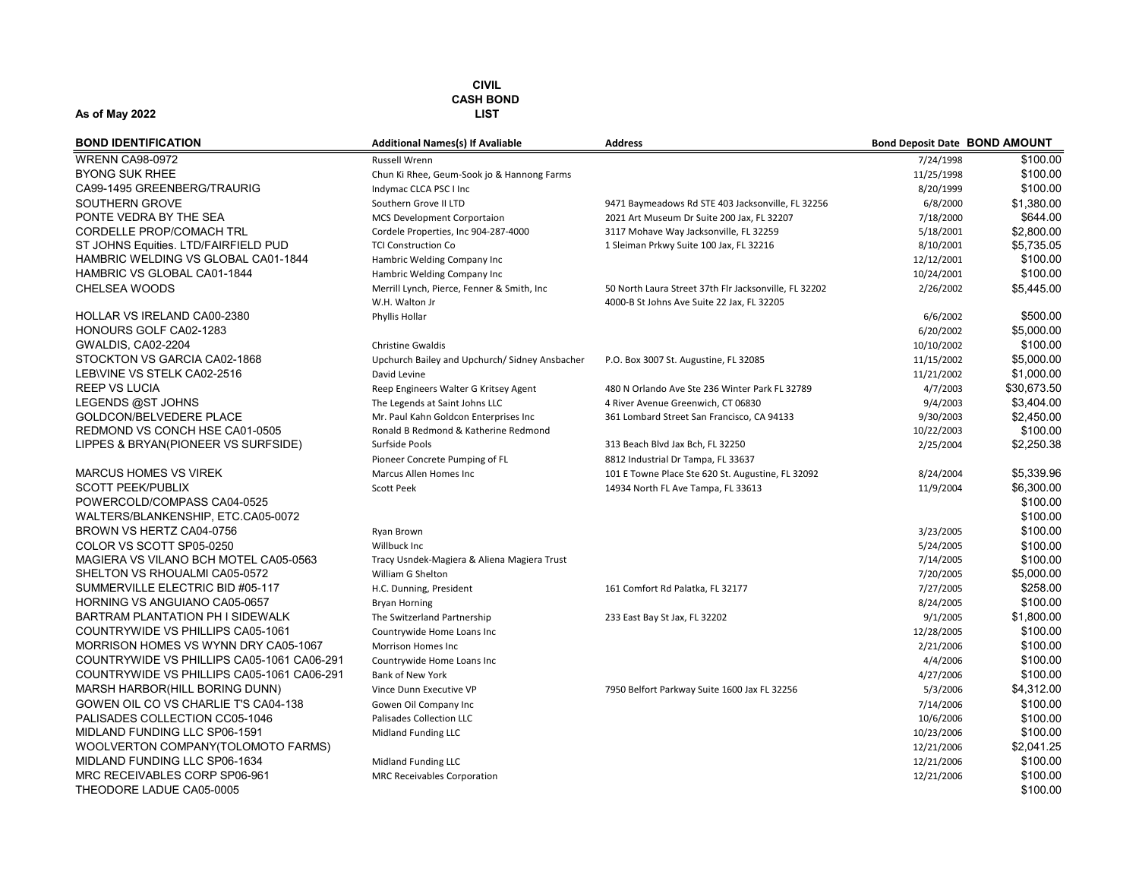| <b>BOND IDENTIFICATION</b>                 | <b>Additional Names(s) If Avaliable</b>                      | <b>Address</b>                                                                                      | <b>Bond Deposit Date BOND AMOUNT</b> |             |
|--------------------------------------------|--------------------------------------------------------------|-----------------------------------------------------------------------------------------------------|--------------------------------------|-------------|
| <b>WRENN CA98-0972</b>                     | <b>Russell Wrenn</b>                                         |                                                                                                     | 7/24/1998                            | \$100.00    |
| <b>BYONG SUK RHEE</b>                      | Chun Ki Rhee, Geum-Sook jo & Hannong Farms                   |                                                                                                     | 11/25/1998                           | \$100.00    |
| CA99-1495 GREENBERG/TRAURIG                | Indymac CLCA PSC I Inc                                       |                                                                                                     | 8/20/1999                            | \$100.00    |
| SOUTHERN GROVE                             | Southern Grove II LTD                                        | 9471 Baymeadows Rd STE 403 Jacksonville, FL 32256                                                   | 6/8/2000                             | \$1,380.00  |
| PONTE VEDRA BY THE SEA                     | <b>MCS Development Corportaion</b>                           | 2021 Art Museum Dr Suite 200 Jax, FL 32207                                                          | 7/18/2000                            | \$644.00    |
| <b>CORDELLE PROP/COMACH TRL</b>            | Cordele Properties, Inc 904-287-4000                         | 3117 Mohave Way Jacksonville, FL 32259                                                              | 5/18/2001                            | \$2,800.00  |
| ST JOHNS Equities. LTD/FAIRFIELD PUD       | <b>TCI Construction Co</b>                                   | 1 Sleiman Prkwy Suite 100 Jax, FL 32216                                                             | 8/10/2001                            | \$5,735.05  |
| HAMBRIC WELDING VS GLOBAL CA01-1844        | Hambric Welding Company Inc                                  |                                                                                                     | 12/12/2001                           | \$100.00    |
| HAMBRIC VS GLOBAL CA01-1844                | Hambric Welding Company Inc                                  |                                                                                                     | 10/24/2001                           | \$100.00    |
| <b>CHELSEA WOODS</b>                       | Merrill Lynch, Pierce, Fenner & Smith, Inc<br>W.H. Walton Jr | 50 North Laura Street 37th Flr Jacksonville, FL 32202<br>4000-B St Johns Ave Suite 22 Jax, FL 32205 | 2/26/2002                            | \$5,445.00  |
| <b>HOLLAR VS IRELAND CA00-2380</b>         | Phyllis Hollar                                               |                                                                                                     | 6/6/2002                             | \$500.00    |
| HONOURS GOLF CA02-1283                     |                                                              |                                                                                                     | 6/20/2002                            | \$5,000.00  |
| GWALDIS, CA02-2204                         | <b>Christine Gwaldis</b>                                     |                                                                                                     | 10/10/2002                           | \$100.00    |
| STOCKTON VS GARCIA CA02-1868               | Upchurch Bailey and Upchurch/ Sidney Ansbacher               | P.O. Box 3007 St. Augustine, FL 32085                                                               | 11/15/2002                           | \$5.000.00  |
| LEB\VINE VS STELK CA02-2516                | David Levine                                                 |                                                                                                     | 11/21/2002                           | \$1,000.00  |
| <b>REEP VS LUCIA</b>                       | Reep Engineers Walter G Kritsey Agent                        | 480 N Orlando Ave Ste 236 Winter Park FL 32789                                                      | 4/7/2003                             | \$30,673.50 |
| LEGENDS @ST JOHNS                          | The Legends at Saint Johns LLC                               | 4 River Avenue Greenwich, CT 06830                                                                  | 9/4/2003                             | \$3,404.00  |
| <b>GOLDCON/BELVEDERE PLACE</b>             | Mr. Paul Kahn Goldcon Enterprises Inc                        | 361 Lombard Street San Francisco, CA 94133                                                          | 9/30/2003                            | \$2,450.00  |
| REDMOND VS CONCH HSE CA01-0505             | Ronald B Redmond & Katherine Redmond                         |                                                                                                     | 10/22/2003                           | \$100.00    |
| LIPPES & BRYAN(PIONEER VS SURFSIDE)        | Surfside Pools                                               | 313 Beach Blvd Jax Bch, FL 32250                                                                    | 2/25/2004                            | \$2,250.38  |
|                                            | Pioneer Concrete Pumping of FL                               | 8812 Industrial Dr Tampa, FL 33637                                                                  |                                      |             |
| <b>MARCUS HOMES VS VIREK</b>               | Marcus Allen Homes Inc                                       | 101 E Towne Place Ste 620 St. Augustine, FL 32092                                                   | 8/24/2004                            | \$5,339.96  |
| <b>SCOTT PEEK/PUBLIX</b>                   | <b>Scott Peek</b>                                            | 14934 North FL Ave Tampa, FL 33613                                                                  | 11/9/2004                            | \$6,300.00  |
| POWERCOLD/COMPASS CA04-0525                |                                                              |                                                                                                     |                                      | \$100.00    |
| WALTERS/BLANKENSHIP, ETC.CA05-0072         |                                                              |                                                                                                     |                                      | \$100.00    |
| BROWN VS HERTZ CA04-0756                   | Ryan Brown                                                   |                                                                                                     | 3/23/2005                            | \$100.00    |
| COLOR VS SCOTT SP05-0250                   | Willbuck Inc                                                 |                                                                                                     | 5/24/2005                            | \$100.00    |
| MAGIERA VS VILANO BCH MOTEL CA05-0563      | Tracy Usndek-Magiera & Aliena Magiera Trust                  |                                                                                                     | 7/14/2005                            | \$100.00    |
| SHELTON VS RHOUALMI CA05-0572              | William G Shelton                                            |                                                                                                     | 7/20/2005                            | \$5,000.00  |
| SUMMERVILLE ELECTRIC BID #05-117           | H.C. Dunning, President                                      | 161 Comfort Rd Palatka, FL 32177                                                                    | 7/27/2005                            | \$258.00    |
| HORNING VS ANGUIANO CA05-0657              | <b>Bryan Horning</b>                                         |                                                                                                     | 8/24/2005                            | \$100.00    |
| BARTRAM PLANTATION PH I SIDEWALK           | The Switzerland Partnership                                  | 233 East Bay St Jax, FL 32202                                                                       | 9/1/2005                             | \$1,800.00  |
| COUNTRYWIDE VS PHILLIPS CA05-1061          | Countrywide Home Loans Inc                                   |                                                                                                     | 12/28/2005                           | \$100.00    |
| MORRISON HOMES VS WYNN DRY CA05-1067       | Morrison Homes Inc                                           |                                                                                                     | 2/21/2006                            | \$100.00    |
| COUNTRYWIDE VS PHILLIPS CA05-1061 CA06-291 | Countrywide Home Loans Inc                                   |                                                                                                     | 4/4/2006                             | \$100.00    |
| COUNTRYWIDE VS PHILLIPS CA05-1061 CA06-291 | Bank of New York                                             |                                                                                                     | 4/27/2006                            | \$100.00    |
| MARSH HARBOR(HILL BORING DUNN)             | Vince Dunn Executive VP                                      | 7950 Belfort Parkway Suite 1600 Jax FL 32256                                                        | 5/3/2006                             | \$4,312.00  |
| GOWEN OIL CO VS CHARLIE T'S CA04-138       | Gowen Oil Company Inc                                        |                                                                                                     | 7/14/2006                            | \$100.00    |
| PALISADES COLLECTION CC05-1046             | Palisades Collection LLC                                     |                                                                                                     | 10/6/2006                            | \$100.00    |
| MIDLAND FUNDING LLC SP06-1591              | Midland Funding LLC                                          |                                                                                                     | 10/23/2006                           | \$100.00    |
| WOOLVERTON COMPANY(TOLOMOTO FARMS)         |                                                              |                                                                                                     | 12/21/2006                           | \$2,041.25  |
| MIDLAND FUNDING LLC SP06-1634              | Midland Funding LLC                                          |                                                                                                     | 12/21/2006                           | \$100.00    |
| MRC RECEIVABLES CORP SP06-961              | <b>MRC Receivables Corporation</b>                           |                                                                                                     | 12/21/2006                           | \$100.00    |
| THEODORE LADUE CA05-0005                   |                                                              |                                                                                                     |                                      | \$100.00    |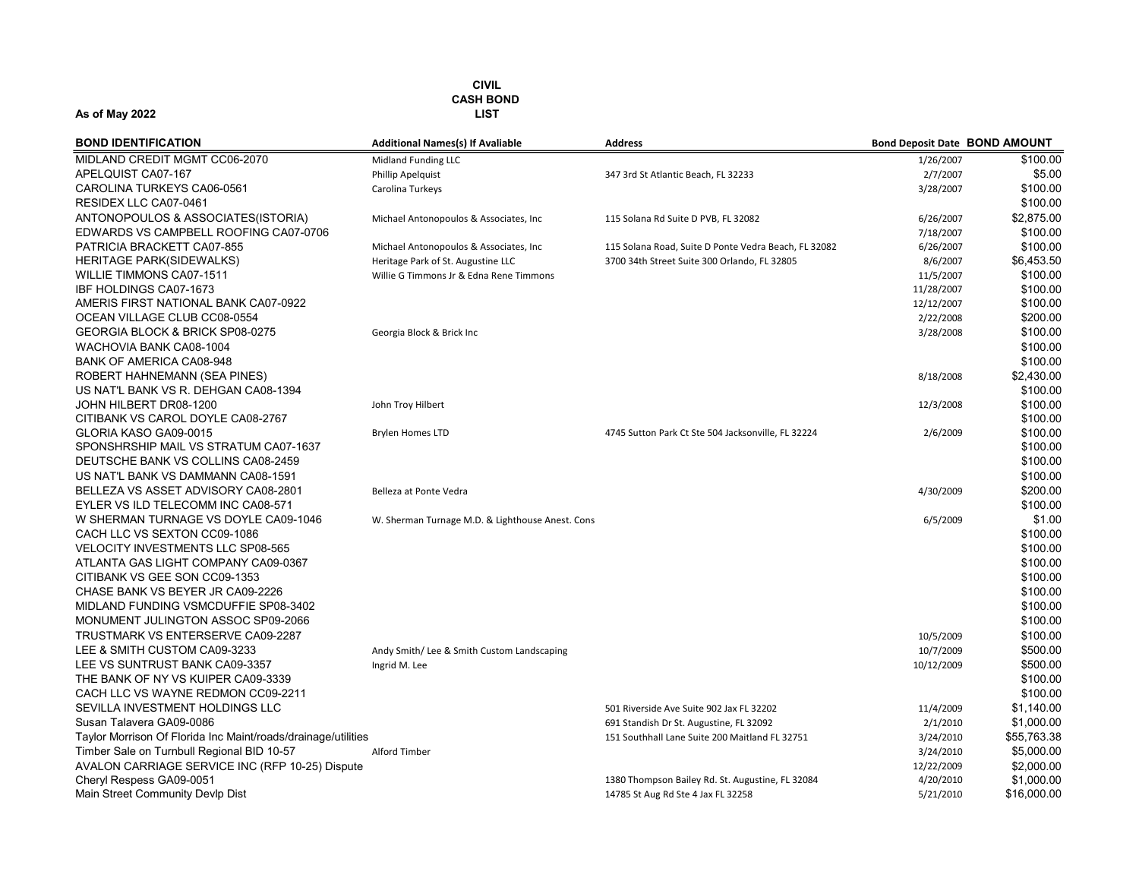| <b>BOND IDENTIFICATION</b>                                    | <b>Additional Names(s) If Avaliable</b>          | <b>Address</b>                                       | <b>Bond Deposit Date BOND AMOUNT</b> |             |
|---------------------------------------------------------------|--------------------------------------------------|------------------------------------------------------|--------------------------------------|-------------|
| MIDLAND CREDIT MGMT CC06-2070                                 | Midland Funding LLC                              |                                                      | 1/26/2007                            | \$100.00    |
| APELQUIST CA07-167                                            | Phillip Apelquist                                | 347 3rd St Atlantic Beach, FL 32233                  | 2/7/2007                             | \$5.00      |
| CAROLINA TURKEYS CA06-0561                                    | Carolina Turkeys                                 |                                                      | 3/28/2007                            | \$100.00    |
| RESIDEX LLC CA07-0461                                         |                                                  |                                                      |                                      | \$100.00    |
| ANTONOPOULOS & ASSOCIATES(ISTORIA)                            | Michael Antonopoulos & Associates, Inc           | 115 Solana Rd Suite D PVB, FL 32082                  | 6/26/2007                            | \$2,875.00  |
| EDWARDS VS CAMPBELL ROOFING CA07-0706                         |                                                  |                                                      | 7/18/2007                            | \$100.00    |
| PATRICIA BRACKETT CA07-855                                    | Michael Antonopoulos & Associates, Inc           | 115 Solana Road, Suite D Ponte Vedra Beach, FL 32082 | 6/26/2007                            | \$100.00    |
| <b>HERITAGE PARK(SIDEWALKS)</b>                               | Heritage Park of St. Augustine LLC               | 3700 34th Street Suite 300 Orlando, FL 32805         | 8/6/2007                             | \$6,453.50  |
| <b>WILLIE TIMMONS CA07-1511</b>                               | Willie G Timmons Jr & Edna Rene Timmons          |                                                      | 11/5/2007                            | \$100.00    |
| <b>IBF HOLDINGS CA07-1673</b>                                 |                                                  |                                                      | 11/28/2007                           | \$100.00    |
| AMERIS FIRST NATIONAL BANK CA07-0922                          |                                                  |                                                      | 12/12/2007                           | \$100.00    |
| OCEAN VILLAGE CLUB CC08-0554                                  |                                                  |                                                      | 2/22/2008                            | \$200.00    |
| GEORGIA BLOCK & BRICK SP08-0275                               | Georgia Block & Brick Inc                        |                                                      | 3/28/2008                            | \$100.00    |
| WACHOVIA BANK CA08-1004                                       |                                                  |                                                      |                                      | \$100.00    |
| <b>BANK OF AMERICA CA08-948</b>                               |                                                  |                                                      |                                      | \$100.00    |
| ROBERT HAHNEMANN (SEA PINES)                                  |                                                  |                                                      | 8/18/2008                            | \$2,430.00  |
| US NAT'L BANK VS R. DEHGAN CA08-1394                          |                                                  |                                                      |                                      | \$100.00    |
| JOHN HILBERT DR08-1200                                        | John Troy Hilbert                                |                                                      | 12/3/2008                            | \$100.00    |
| CITIBANK VS CAROL DOYLE CA08-2767                             |                                                  |                                                      |                                      | \$100.00    |
| GLORIA KASO GA09-0015                                         | <b>Brylen Homes LTD</b>                          | 4745 Sutton Park Ct Ste 504 Jacksonville, FL 32224   | 2/6/2009                             | \$100.00    |
| SPONSHRSHIP MAIL VS STRATUM CA07-1637                         |                                                  |                                                      |                                      | \$100.00    |
| DEUTSCHE BANK VS COLLINS CA08-2459                            |                                                  |                                                      |                                      | \$100.00    |
| US NAT'L BANK VS DAMMANN CA08-1591                            |                                                  |                                                      |                                      | \$100.00    |
| BELLEZA VS ASSET ADVISORY CA08-2801                           | Belleza at Ponte Vedra                           |                                                      | 4/30/2009                            | \$200.00    |
| EYLER VS ILD TELECOMM INC CA08-571                            |                                                  |                                                      |                                      | \$100.00    |
| W SHERMAN TURNAGE VS DOYLE CA09-1046                          | W. Sherman Turnage M.D. & Lighthouse Anest. Cons |                                                      | 6/5/2009                             | \$1.00      |
| CACH LLC VS SEXTON CC09-1086                                  |                                                  |                                                      |                                      | \$100.00    |
| <b>VELOCITY INVESTMENTS LLC SP08-565</b>                      |                                                  |                                                      |                                      | \$100.00    |
| ATLANTA GAS LIGHT COMPANY CA09-0367                           |                                                  |                                                      |                                      | \$100.00    |
| CITIBANK VS GEE SON CC09-1353                                 |                                                  |                                                      |                                      | \$100.00    |
| CHASE BANK VS BEYER JR CA09-2226                              |                                                  |                                                      |                                      | \$100.00    |
| MIDLAND FUNDING VSMCDUFFIE SP08-3402                          |                                                  |                                                      |                                      | \$100.00    |
| MONUMENT JULINGTON ASSOC SP09-2066                            |                                                  |                                                      |                                      | \$100.00    |
| TRUSTMARK VS ENTERSERVE CA09-2287                             |                                                  |                                                      | 10/5/2009                            | \$100.00    |
| LEE & SMITH CUSTOM CA09-3233                                  | Andy Smith/ Lee & Smith Custom Landscaping       |                                                      | 10/7/2009                            | \$500.00    |
| LEE VS SUNTRUST BANK CA09-3357                                | Ingrid M. Lee                                    |                                                      | 10/12/2009                           | \$500.00    |
| THE BANK OF NY VS KUIPER CA09-3339                            |                                                  |                                                      |                                      | \$100.00    |
| CACH LLC VS WAYNE REDMON CC09-2211                            |                                                  |                                                      |                                      | \$100.00    |
| SEVILLA INVESTMENT HOLDINGS LLC                               |                                                  | 501 Riverside Ave Suite 902 Jax FL 32202             | 11/4/2009                            | \$1,140.00  |
| Susan Talavera GA09-0086                                      |                                                  | 691 Standish Dr St. Augustine, FL 32092              | 2/1/2010                             | \$1,000.00  |
| Taylor Morrison Of Florida Inc Maint/roads/drainage/utilities |                                                  | 151 Southhall Lane Suite 200 Maitland FL 32751       | 3/24/2010                            | \$55,763.38 |
| Timber Sale on Turnbull Regional BID 10-57                    | Alford Timber                                    |                                                      | 3/24/2010                            | \$5,000.00  |
| AVALON CARRIAGE SERVICE INC (RFP 10-25) Dispute               |                                                  |                                                      | 12/22/2009                           | \$2,000.00  |
| Cheryl Respess GA09-0051                                      |                                                  | 1380 Thompson Bailey Rd. St. Augustine, FL 32084     | 4/20/2010                            | \$1,000.00  |
| Main Street Community Devlp Dist                              |                                                  | 14785 St Aug Rd Ste 4 Jax FL 32258                   | 5/21/2010                            | \$16,000.00 |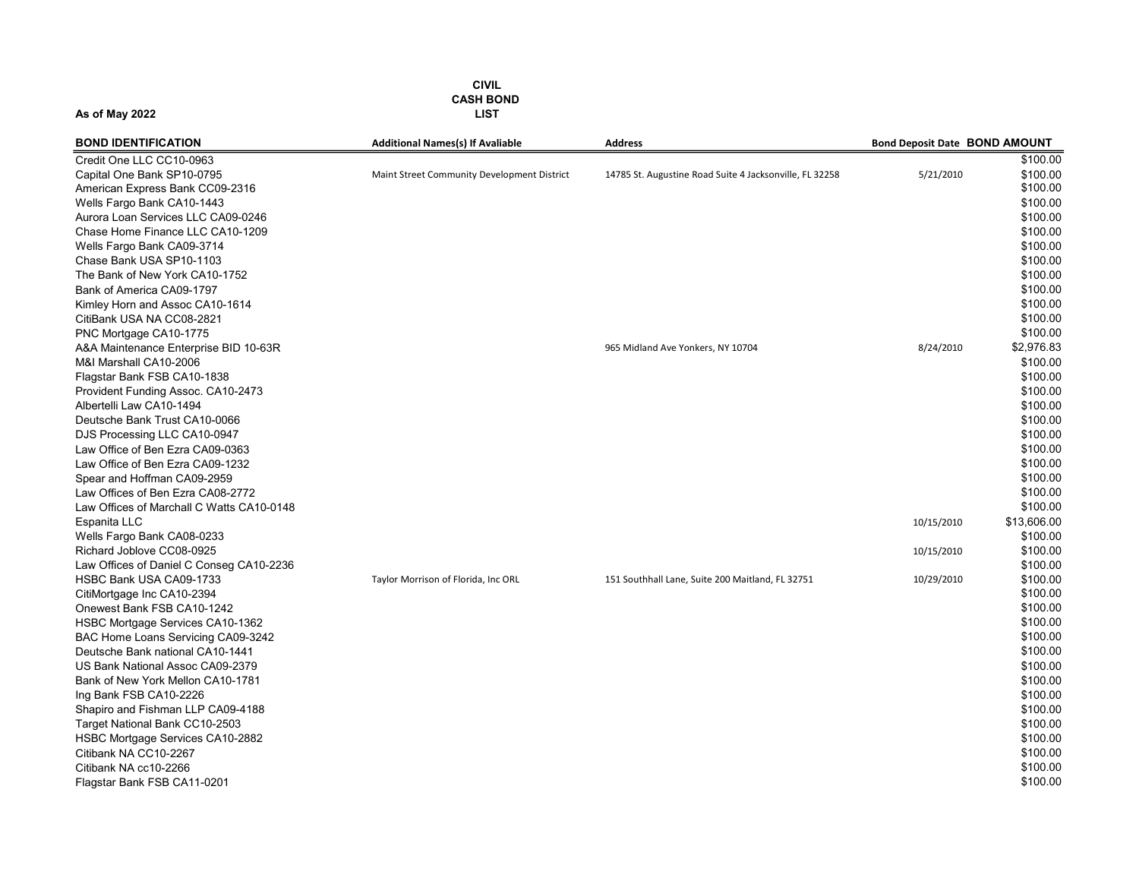| <b>BOND IDENTIFICATION</b>                | <b>Additional Names(s) If Avaliable</b>     | <b>Address</b>                                          | <b>Bond Deposit Date BOND AMOUNT</b> |             |
|-------------------------------------------|---------------------------------------------|---------------------------------------------------------|--------------------------------------|-------------|
| Credit One LLC CC10-0963                  |                                             |                                                         |                                      | \$100.00    |
| Capital One Bank SP10-0795                | Maint Street Community Development District | 14785 St. Augustine Road Suite 4 Jacksonville, FL 32258 | 5/21/2010                            | \$100.00    |
| American Express Bank CC09-2316           |                                             |                                                         |                                      | \$100.00    |
| Wells Fargo Bank CA10-1443                |                                             |                                                         |                                      | \$100.00    |
| Aurora Loan Services LLC CA09-0246        |                                             |                                                         |                                      | \$100.00    |
| Chase Home Finance LLC CA10-1209          |                                             |                                                         |                                      | \$100.00    |
| Wells Fargo Bank CA09-3714                |                                             |                                                         |                                      | \$100.00    |
| Chase Bank USA SP10-1103                  |                                             |                                                         |                                      | \$100.00    |
| The Bank of New York CA10-1752            |                                             |                                                         |                                      | \$100.00    |
| Bank of America CA09-1797                 |                                             |                                                         |                                      | \$100.00    |
| Kimley Horn and Assoc CA10-1614           |                                             |                                                         |                                      | \$100.00    |
| CitiBank USA NA CC08-2821                 |                                             |                                                         |                                      | \$100.00    |
| PNC Mortgage CA10-1775                    |                                             |                                                         |                                      | \$100.00    |
| A&A Maintenance Enterprise BID 10-63R     |                                             | 965 Midland Ave Yonkers, NY 10704                       | 8/24/2010                            | \$2,976.83  |
| M&I Marshall CA10-2006                    |                                             |                                                         |                                      | \$100.00    |
| Flagstar Bank FSB CA10-1838               |                                             |                                                         |                                      | \$100.00    |
| Provident Funding Assoc. CA10-2473        |                                             |                                                         |                                      | \$100.00    |
| Albertelli Law CA10-1494                  |                                             |                                                         |                                      | \$100.00    |
| Deutsche Bank Trust CA10-0066             |                                             |                                                         |                                      | \$100.00    |
| DJS Processing LLC CA10-0947              |                                             |                                                         |                                      | \$100.00    |
| Law Office of Ben Ezra CA09-0363          |                                             |                                                         |                                      | \$100.00    |
| Law Office of Ben Ezra CA09-1232          |                                             |                                                         |                                      | \$100.00    |
| Spear and Hoffman CA09-2959               |                                             |                                                         |                                      | \$100.00    |
| Law Offices of Ben Ezra CA08-2772         |                                             |                                                         |                                      | \$100.00    |
| Law Offices of Marchall C Watts CA10-0148 |                                             |                                                         |                                      | \$100.00    |
| Espanita LLC                              |                                             |                                                         | 10/15/2010                           | \$13,606.00 |
| Wells Fargo Bank CA08-0233                |                                             |                                                         |                                      | \$100.00    |
| Richard Joblove CC08-0925                 |                                             |                                                         | 10/15/2010                           | \$100.00    |
| Law Offices of Daniel C Conseg CA10-2236  |                                             |                                                         |                                      | \$100.00    |
| HSBC Bank USA CA09-1733                   | Taylor Morrison of Florida, Inc ORL         | 151 Southhall Lane, Suite 200 Maitland, FL 32751        | 10/29/2010                           | \$100.00    |
| CitiMortgage Inc CA10-2394                |                                             |                                                         |                                      | \$100.00    |
| Onewest Bank FSB CA10-1242                |                                             |                                                         |                                      | \$100.00    |
| HSBC Mortgage Services CA10-1362          |                                             |                                                         |                                      | \$100.00    |
| BAC Home Loans Servicing CA09-3242        |                                             |                                                         |                                      | \$100.00    |
| Deutsche Bank national CA10-1441          |                                             |                                                         |                                      | \$100.00    |
| US Bank National Assoc CA09-2379          |                                             |                                                         |                                      | \$100.00    |
| Bank of New York Mellon CA10-1781         |                                             |                                                         |                                      | \$100.00    |
| Ing Bank FSB CA10-2226                    |                                             |                                                         |                                      | \$100.00    |
| Shapiro and Fishman LLP CA09-4188         |                                             |                                                         |                                      | \$100.00    |
| Target National Bank CC10-2503            |                                             |                                                         |                                      | \$100.00    |
| HSBC Mortgage Services CA10-2882          |                                             |                                                         |                                      | \$100.00    |
| Citibank NA CC10-2267                     |                                             |                                                         |                                      | \$100.00    |
| Citibank NA cc10-2266                     |                                             |                                                         |                                      | \$100.00    |
| Flagstar Bank FSB CA11-0201               |                                             |                                                         |                                      | \$100.00    |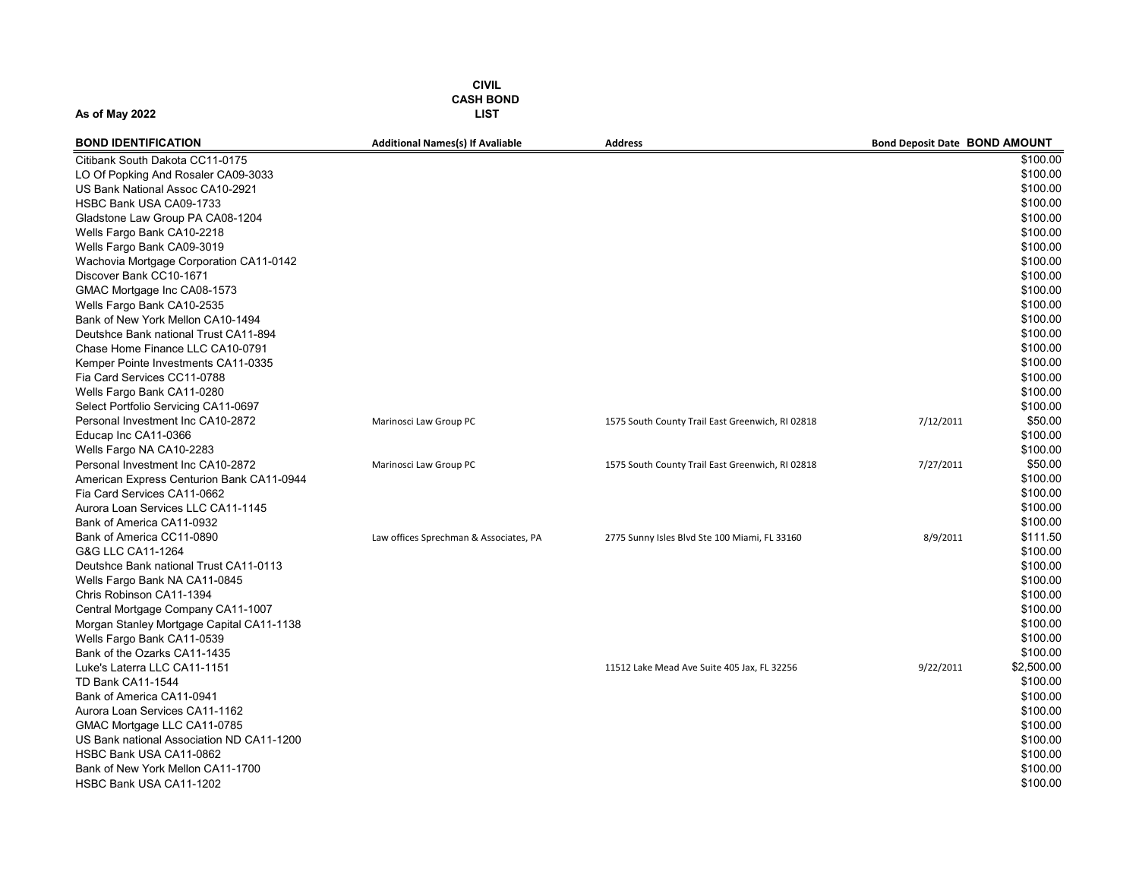| <b>BOND IDENTIFICATION</b>                | <b>Additional Names(s) If Avaliable</b> | <b>Address</b>                                   | <b>Bond Deposit Date BOND AMOUNT</b> |            |
|-------------------------------------------|-----------------------------------------|--------------------------------------------------|--------------------------------------|------------|
| Citibank South Dakota CC11-0175           |                                         |                                                  |                                      | \$100.00   |
| LO Of Popking And Rosaler CA09-3033       |                                         |                                                  |                                      | \$100.00   |
| US Bank National Assoc CA10-2921          |                                         |                                                  |                                      | \$100.00   |
| HSBC Bank USA CA09-1733                   |                                         |                                                  |                                      | \$100.00   |
| Gladstone Law Group PA CA08-1204          |                                         |                                                  |                                      | \$100.00   |
| Wells Fargo Bank CA10-2218                |                                         |                                                  |                                      | \$100.00   |
| Wells Fargo Bank CA09-3019                |                                         |                                                  |                                      | \$100.00   |
| Wachovia Mortgage Corporation CA11-0142   |                                         |                                                  |                                      | \$100.00   |
| Discover Bank CC10-1671                   |                                         |                                                  |                                      | \$100.00   |
| GMAC Mortgage Inc CA08-1573               |                                         |                                                  |                                      | \$100.00   |
| Wells Fargo Bank CA10-2535                |                                         |                                                  |                                      | \$100.00   |
| Bank of New York Mellon CA10-1494         |                                         |                                                  |                                      | \$100.00   |
| Deutshce Bank national Trust CA11-894     |                                         |                                                  |                                      | \$100.00   |
| Chase Home Finance LLC CA10-0791          |                                         |                                                  |                                      | \$100.00   |
| Kemper Pointe Investments CA11-0335       |                                         |                                                  |                                      | \$100.00   |
| Fia Card Services CC11-0788               |                                         |                                                  |                                      | \$100.00   |
| Wells Fargo Bank CA11-0280                |                                         |                                                  |                                      | \$100.00   |
| Select Portfolio Servicing CA11-0697      |                                         |                                                  |                                      | \$100.00   |
| Personal Investment Inc CA10-2872         | Marinosci Law Group PC                  | 1575 South County Trail East Greenwich, RI 02818 | 7/12/2011                            | \$50.00    |
| Educap Inc CA11-0366                      |                                         |                                                  |                                      | \$100.00   |
| Wells Fargo NA CA10-2283                  |                                         |                                                  |                                      | \$100.00   |
| Personal Investment Inc CA10-2872         | Marinosci Law Group PC                  | 1575 South County Trail East Greenwich, RI 02818 | 7/27/2011                            | \$50.00    |
| American Express Centurion Bank CA11-0944 |                                         |                                                  |                                      | \$100.00   |
| Fia Card Services CA11-0662               |                                         |                                                  |                                      | \$100.00   |
| Aurora Loan Services LLC CA11-1145        |                                         |                                                  |                                      | \$100.00   |
| Bank of America CA11-0932                 |                                         |                                                  |                                      | \$100.00   |
| Bank of America CC11-0890                 | Law offices Sprechman & Associates, PA  | 2775 Sunny Isles Blvd Ste 100 Miami, FL 33160    | 8/9/2011                             | \$111.50   |
| G&G LLC CA11-1264                         |                                         |                                                  |                                      | \$100.00   |
| Deutshce Bank national Trust CA11-0113    |                                         |                                                  |                                      | \$100.00   |
| Wells Fargo Bank NA CA11-0845             |                                         |                                                  |                                      | \$100.00   |
| Chris Robinson CA11-1394                  |                                         |                                                  |                                      | \$100.00   |
| Central Mortgage Company CA11-1007        |                                         |                                                  |                                      | \$100.00   |
| Morgan Stanley Mortgage Capital CA11-1138 |                                         |                                                  |                                      | \$100.00   |
| Wells Fargo Bank CA11-0539                |                                         |                                                  |                                      | \$100.00   |
| Bank of the Ozarks CA11-1435              |                                         |                                                  |                                      | \$100.00   |
| Luke's Laterra LLC CA11-1151              |                                         | 11512 Lake Mead Ave Suite 405 Jax, FL 32256      | 9/22/2011                            | \$2,500.00 |
| <b>TD Bank CA11-1544</b>                  |                                         |                                                  |                                      | \$100.00   |
| Bank of America CA11-0941                 |                                         |                                                  |                                      | \$100.00   |
| Aurora Loan Services CA11-1162            |                                         |                                                  |                                      | \$100.00   |
| GMAC Mortgage LLC CA11-0785               |                                         |                                                  |                                      | \$100.00   |
| US Bank national Association ND CA11-1200 |                                         |                                                  |                                      | \$100.00   |
| HSBC Bank USA CA11-0862                   |                                         |                                                  |                                      | \$100.00   |
| Bank of New York Mellon CA11-1700         |                                         |                                                  |                                      | \$100.00   |
| HSBC Bank USA CA11-1202                   |                                         |                                                  |                                      | \$100.00   |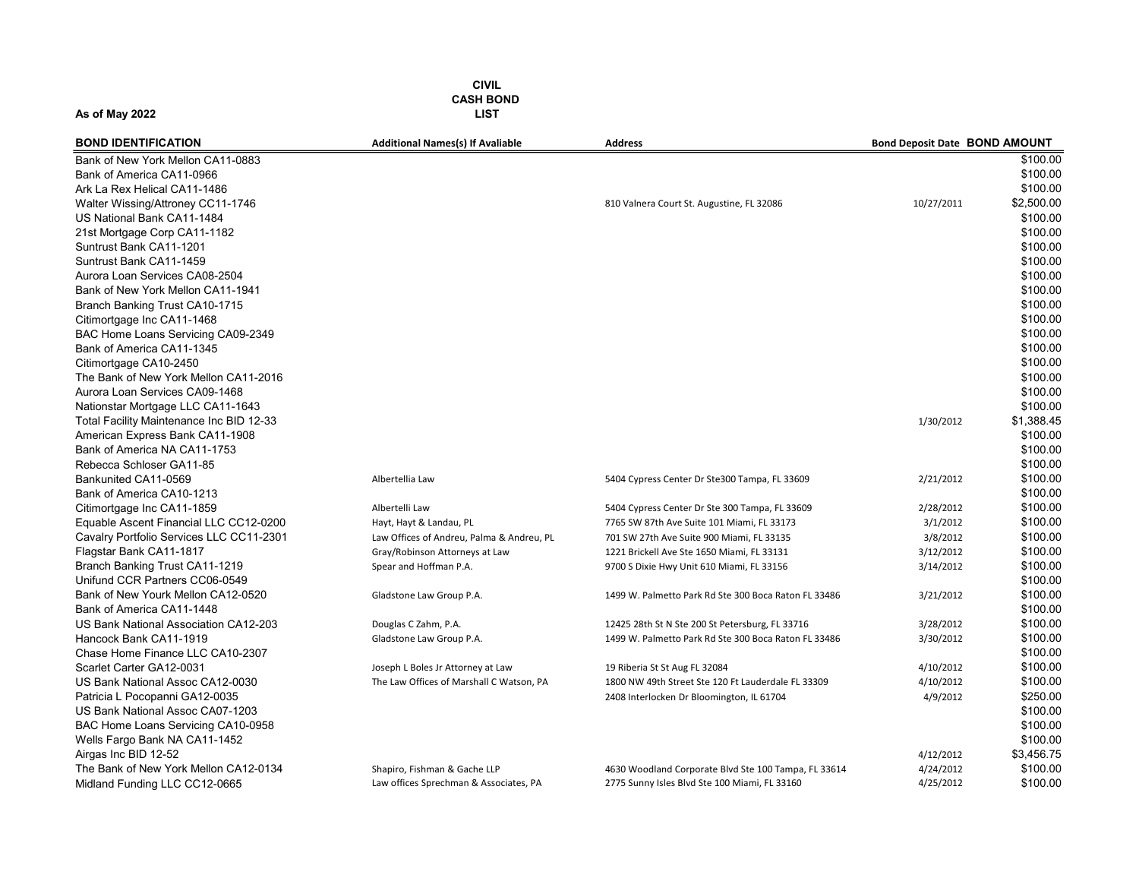CIVIL CASH BOND As of May 2022 LIST

BOND IDENTIFICATION **EXECUTE Additional Names(s)** If Avaliable Address Address and Deposit Date BOND AMOUNT Bank of New York Mellon CA11-0883 \$100.00 Bank of America CA11-0966 \$100.00 Ark La Rex Helical CA11-1486 \$100.00 Walter Wissing/Attroney CC11-1746 810 Valnera Court St. Augustine, FL 32086 10/27/2011 \$2,500.00 US National Bank CA11-1484 \$100.00 21st Mortgage Corp CA11-1182 \$100.00 Suntrust Bank CA11-1201 \$100.00 Suntrust Bank CA11-1459 \$100.00 Aurora Loan Services CA08-2504 \$100.00 Bank of New York Mellon CA11-1941<br>Branch Banking Trust CA10-1715 \$100.00 Branch Banking Trust CA10-1715 Citimortgage Inc CA11-1468 \$100.00 BAC Home Loans Servicing CA09-2349 \$100.00 Bank of America CA11-1345 \$100.00 Citimortgage CA10-2450 \$100.00 The Bank of New York Mellon CA11-2016 \$100.00 Aurora Loan Services CA09-1468 \$100.00 Nationstar Mortgage LLC CA11-1643 \$100.00 Total Facility Maintenance Inc BID 12-33  $\qquad \qquad$  \$1,388.45 American Express Bank CA11-1908 \$100.00 Bank of America NA CA11-1753 \$100.00 Rebecca Schloser GA11-85 \$100.00 Bankunited CA11-0569 **Albertellia Law** Albertellia Law 5404 Cypress Center Dr Ste300 Tampa, FL 33609 2/21/2012 \$100.00 Bank of America CA10-1213 \$100.00 Citimortgage Inc CA11-1859 **Albertelli Law** Albertelli Law 5404 Cypress Center Dr Ste 300 Tampa, FL 33609 2/28/2012 \$100.00 Equable Ascent Financial LLC CC12-0200 Hayt, Hayt & Landau, PL 7765 SW 87th Ave Suite 101 Miami, FL 33173 3/1/2012 \$100.00 Cavalry Portfolio Services LLC CC11-2301 Law Offices of Andreu, Palma & Andreu, PL 701 SW 27th Ave Suite 900 Miami, FL 33135 3/8/2012 \$100.00 Flagstar Bank CA11-1817 Gray Carey/Robinson Attorneys at Law 1221 Brickell Ave Ste 1650 Miami, FL 33131 3/12/2012 \$100.00 Branch Banking Trust CA11-1219 Spear and Hoffman P.A. 9700 S Dixie Hwy Unit 610 Miami, FL 33156 3/14/2012 \$100.00 Unifund CCR Partners CC06-0549  $$100.00$ Bank of New Yourk Mellon CA12-0520 Gladstone Law Group P.A. 1499 W. Palmetto Park Rd Ste 300 Boca Raton FL 33486 3/21/2012 \$100.00 Bank of America CA11-1448 \$100.00 US Bank National Association CA12-203 Douglas C Zahm, P.A. 12425 28th St N Ste 200 St Petersburg, FL 33716 3/28/2012 \$100.00 Hancock Bank CA11-1919 **Gladstone Law Group P.A.** 1499 W. Palmetto Park Rd Ste 300 Boca Raton FL 33486 3/30/2012 \$100.00 Chase Home Finance LLC CA10-2307 \$100.00 Scarlet Carter GA12-0031 **Starlet Carter GA12-0031** Joseph L Boles Jr Attorney at Law 19 Riberia St St Aug FL 32084 4/10/2012 4/10/2012 \$100.00 US Bank National Assoc CA12-0030 The Law Offices of Marshall C Watson, PA 1800 NW 49th Street Ste 120 Ft Lauderdale FL 33309 4/10/2012 \$100.00 Patricia L Pocopanni GA12-0035 2408 Interlocken Dr Bloomington, IL 61704 2008 Interlocken Dr Bloomington, IL 61704 4/9/2012 \$250.00 US Bank National Assoc CA07-1203 \$100.00 BAC Home Loans Servicing CA10-0958 \$100.00 Wells Fargo Bank NA CA11-1452 \$100.00 Airgas Inc BID 12-52 4/12/2012 \$3,456.75 The Bank of New York Mellon CA12-0134 Shapiro, Fishman & Gache LLP 4630 Woodland Corporate Blvd Ste 100 Tampa, FL 33614 4/24/2012 \$100.00 Midland Funding LLC CC12-0665 **Law offices Sprechman & Associates, PA** 2775 Sunny Isles Blvd Ste 100 Miami, FL 33160 4/25/2012 \$100.00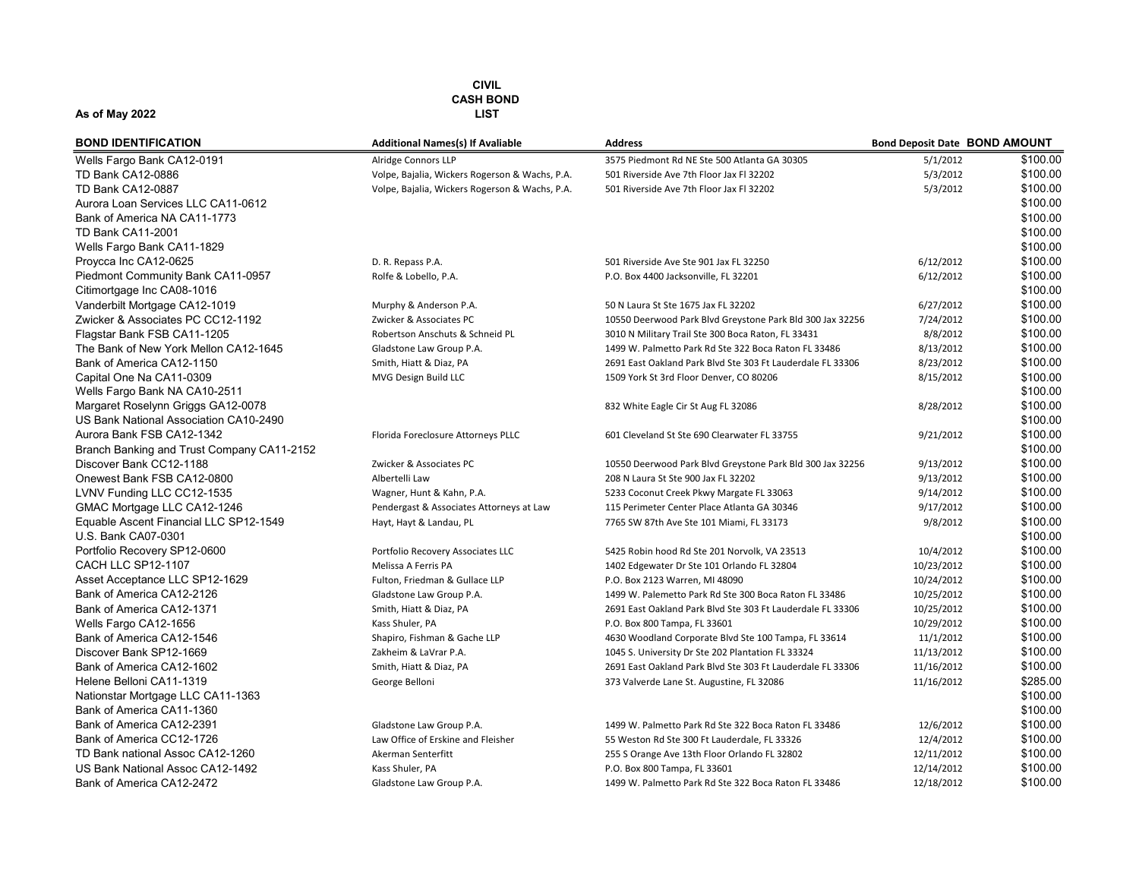| <b>BOND IDENTIFICATION</b>                 | <b>Additional Names(s) If Avaliable</b>        | <b>Address</b>                                             | <b>Bond Deposit Date BOND AMOUNT</b> |          |
|--------------------------------------------|------------------------------------------------|------------------------------------------------------------|--------------------------------------|----------|
| Wells Fargo Bank CA12-0191                 | Alridge Connors LLP                            | 3575 Piedmont Rd NE Ste 500 Atlanta GA 30305               | 5/1/2012                             | \$100.00 |
| <b>TD Bank CA12-0886</b>                   | Volpe, Bajalia, Wickers Rogerson & Wachs, P.A. | 501 Riverside Ave 7th Floor Jax Fl 32202                   | 5/3/2012                             | \$100.00 |
| <b>TD Bank CA12-0887</b>                   | Volpe, Bajalia, Wickers Rogerson & Wachs, P.A. | 501 Riverside Ave 7th Floor Jax Fl 32202                   | 5/3/2012                             | \$100.00 |
| Aurora Loan Services LLC CA11-0612         |                                                |                                                            |                                      | \$100.00 |
| Bank of America NA CA11-1773               |                                                |                                                            |                                      | \$100.00 |
| <b>TD Bank CA11-2001</b>                   |                                                |                                                            |                                      | \$100.00 |
| Wells Fargo Bank CA11-1829                 |                                                |                                                            |                                      | \$100.00 |
| Proycca Inc CA12-0625                      | D. R. Repass P.A.                              | 501 Riverside Ave Ste 901 Jax FL 32250                     | 6/12/2012                            | \$100.00 |
| Piedmont Community Bank CA11-0957          | Rolfe & Lobello, P.A.                          | P.O. Box 4400 Jacksonville, FL 32201                       | 6/12/2012                            | \$100.00 |
| Citimortgage Inc CA08-1016                 |                                                |                                                            |                                      | \$100.00 |
| Vanderbilt Mortgage CA12-1019              | Murphy & Anderson P.A.                         | 50 N Laura St Ste 1675 Jax FL 32202                        | 6/27/2012                            | \$100.00 |
| Zwicker & Associates PC CC12-1192          | Zwicker & Associates PC                        | 10550 Deerwood Park Blvd Greystone Park Bld 300 Jax 32256  | 7/24/2012                            | \$100.00 |
| Flagstar Bank FSB CA11-1205                | Robertson Anschuts & Schneid PL                | 3010 N Military Trail Ste 300 Boca Raton, FL 33431         | 8/8/2012                             | \$100.00 |
| The Bank of New York Mellon CA12-1645      | Gladstone Law Group P.A.                       | 1499 W. Palmetto Park Rd Ste 322 Boca Raton FL 33486       | 8/13/2012                            | \$100.00 |
| Bank of America CA12-1150                  | Smith, Hiatt & Diaz, PA                        | 2691 East Oakland Park Blvd Ste 303 Ft Lauderdale FL 33306 | 8/23/2012                            | \$100.00 |
| Capital One Na CA11-0309                   | MVG Design Build LLC                           | 1509 York St 3rd Floor Denver, CO 80206                    | 8/15/2012                            | \$100.00 |
| Wells Fargo Bank NA CA10-2511              |                                                |                                                            |                                      | \$100.00 |
| Margaret Roselynn Griggs GA12-0078         |                                                | 832 White Eagle Cir St Aug FL 32086                        | 8/28/2012                            | \$100.00 |
| US Bank National Association CA10-2490     |                                                |                                                            |                                      | \$100.00 |
| Aurora Bank FSB CA12-1342                  | Florida Foreclosure Attorneys PLLC             | 601 Cleveland St Ste 690 Clearwater FL 33755               | 9/21/2012                            | \$100.00 |
| Branch Banking and Trust Company CA11-2152 |                                                |                                                            |                                      | \$100.00 |
| Discover Bank CC12-1188                    | Zwicker & Associates PC                        | 10550 Deerwood Park Blvd Greystone Park Bld 300 Jax 32256  | 9/13/2012                            | \$100.00 |
| Onewest Bank FSB CA12-0800                 | Albertelli Law                                 | 208 N Laura St Ste 900 Jax FL 32202                        | 9/13/2012                            | \$100.00 |
| LVNV Funding LLC CC12-1535                 | Wagner, Hunt & Kahn, P.A.                      | 5233 Coconut Creek Pkwy Margate FL 33063                   | 9/14/2012                            | \$100.00 |
| GMAC Mortgage LLC CA12-1246                | Pendergast & Associates Attorneys at Law       | 115 Perimeter Center Place Atlanta GA 30346                | 9/17/2012                            | \$100.00 |
| Equable Ascent Financial LLC SP12-1549     | Hayt, Hayt & Landau, PL                        | 7765 SW 87th Ave Ste 101 Miami, FL 33173                   | 9/8/2012                             | \$100.00 |
| U.S. Bank CA07-0301                        |                                                |                                                            |                                      | \$100.00 |
| Portfolio Recovery SP12-0600               | Portfolio Recovery Associates LLC              | 5425 Robin hood Rd Ste 201 Norvolk, VA 23513               | 10/4/2012                            | \$100.00 |
| CACH LLC SP12-1107                         | Melissa A Ferris PA                            | 1402 Edgewater Dr Ste 101 Orlando FL 32804                 | 10/23/2012                           | \$100.00 |
| Asset Acceptance LLC SP12-1629             | Fulton, Friedman & Gullace LLP                 | P.O. Box 2123 Warren, MI 48090                             | 10/24/2012                           | \$100.00 |
| Bank of America CA12-2126                  | Gladstone Law Group P.A.                       | 1499 W. Palemetto Park Rd Ste 300 Boca Raton FL 33486      | 10/25/2012                           | \$100.00 |
| Bank of America CA12-1371                  | Smith, Hiatt & Diaz, PA                        | 2691 East Oakland Park Blvd Ste 303 Ft Lauderdale FL 33306 | 10/25/2012                           | \$100.00 |
| Wells Fargo CA12-1656                      | Kass Shuler, PA                                | P.O. Box 800 Tampa, FL 33601                               | 10/29/2012                           | \$100.00 |
| Bank of America CA12-1546                  | Shapiro, Fishman & Gache LLP                   | 4630 Woodland Corporate Blvd Ste 100 Tampa, FL 33614       | 11/1/2012                            | \$100.00 |
| Discover Bank SP12-1669                    | Zakheim & LaVrar P.A.                          | 1045 S. University Dr Ste 202 Plantation FL 33324          | 11/13/2012                           | \$100.00 |
| Bank of America CA12-1602                  | Smith, Hiatt & Diaz, PA                        | 2691 East Oakland Park Blvd Ste 303 Ft Lauderdale FL 33306 | 11/16/2012                           | \$100.00 |
| Helene Belloni CA11-1319                   | George Belloni                                 | 373 Valverde Lane St. Augustine, FL 32086                  | 11/16/2012                           | \$285.00 |
| Nationstar Mortgage LLC CA11-1363          |                                                |                                                            |                                      | \$100.00 |
| Bank of America CA11-1360                  |                                                |                                                            |                                      | \$100.00 |
| Bank of America CA12-2391                  | Gladstone Law Group P.A.                       | 1499 W. Palmetto Park Rd Ste 322 Boca Raton FL 33486       | 12/6/2012                            | \$100.00 |
| Bank of America CC12-1726                  | Law Office of Erskine and Fleisher             | 55 Weston Rd Ste 300 Ft Lauderdale, FL 33326               | 12/4/2012                            | \$100.00 |
| TD Bank national Assoc CA12-1260           | Akerman Senterfitt                             | 255 S Orange Ave 13th Floor Orlando FL 32802               | 12/11/2012                           | \$100.00 |
| US Bank National Assoc CA12-1492           | Kass Shuler, PA                                | P.O. Box 800 Tampa, FL 33601                               | 12/14/2012                           | \$100.00 |
| Bank of America CA12-2472                  | Gladstone Law Group P.A.                       | 1499 W. Palmetto Park Rd Ste 322 Boca Raton FL 33486       | 12/18/2012                           | \$100.00 |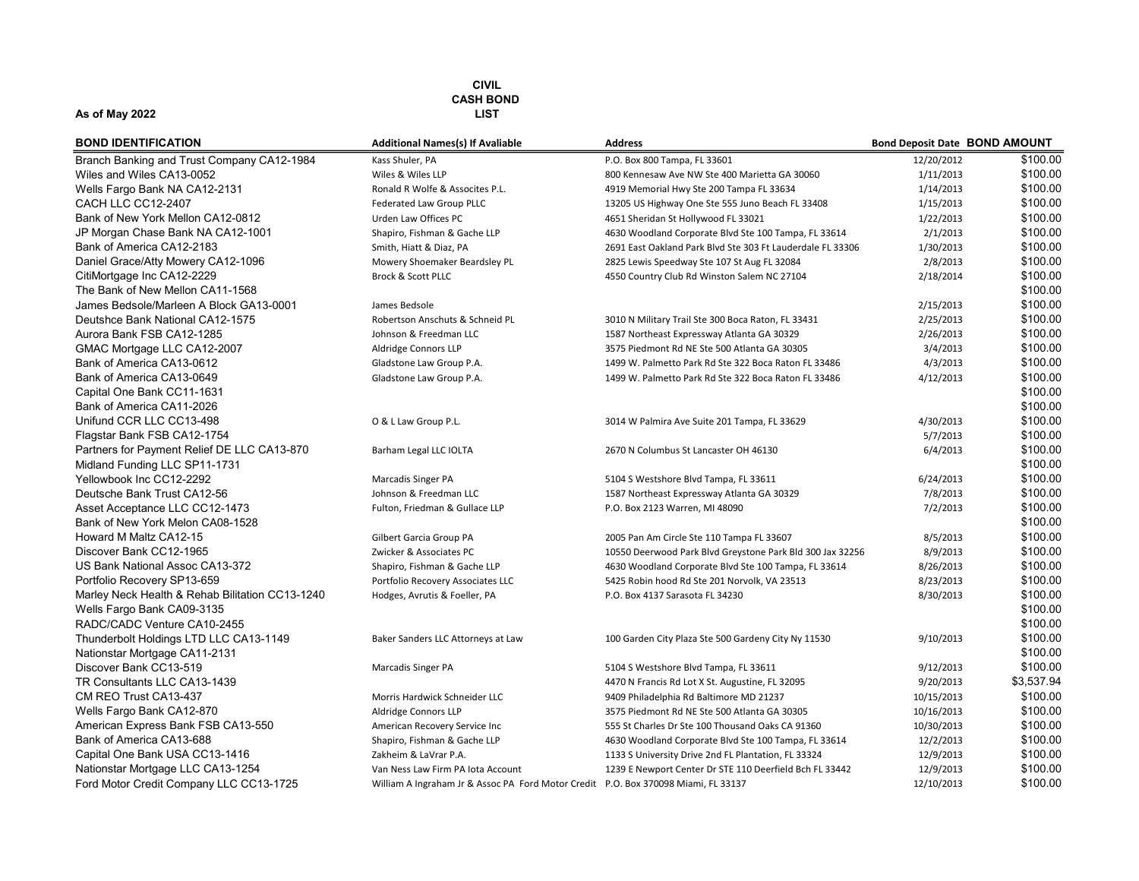| <b>BOND IDENTIFICATION</b>                      | <b>Additional Names(s) If Avaliable</b>                                            | <b>Address</b>                                             | <b>Bond Deposit Date BOND AMOUNT</b> |            |
|-------------------------------------------------|------------------------------------------------------------------------------------|------------------------------------------------------------|--------------------------------------|------------|
| Branch Banking and Trust Company CA12-1984      | Kass Shuler, PA                                                                    | P.O. Box 800 Tampa, FL 33601                               | 12/20/2012                           | \$100.00   |
| Wiles and Wiles CA13-0052                       | Wiles & Wiles LLP                                                                  | 800 Kennesaw Ave NW Ste 400 Marietta GA 30060              | 1/11/2013                            | \$100.00   |
| Wells Fargo Bank NA CA12-2131                   | Ronald R Wolfe & Assocites P.L.                                                    | 4919 Memorial Hwy Ste 200 Tampa FL 33634                   | 1/14/2013                            | \$100.00   |
| CACH LLC CC12-2407                              | Federated Law Group PLLC                                                           | 13205 US Highway One Ste 555 Juno Beach FL 33408           | 1/15/2013                            | \$100.00   |
| Bank of New York Mellon CA12-0812               | Urden Law Offices PC                                                               | 4651 Sheridan St Hollywood FL 33021                        | 1/22/2013                            | \$100.00   |
| JP Morgan Chase Bank NA CA12-1001               | Shapiro, Fishman & Gache LLP                                                       | 4630 Woodland Corporate Blvd Ste 100 Tampa, FL 33614       | 2/1/2013                             | \$100.00   |
| Bank of America CA12-2183                       | Smith, Hiatt & Diaz, PA                                                            | 2691 East Oakland Park Blvd Ste 303 Ft Lauderdale FL 33306 | 1/30/2013                            | \$100.00   |
| Daniel Grace/Atty Mowery CA12-1096              | Mowery Shoemaker Beardsley PL                                                      | 2825 Lewis Speedway Ste 107 St Aug FL 32084                | 2/8/2013                             | \$100.00   |
| CitiMortgage Inc CA12-2229                      | <b>Brock &amp; Scott PLLC</b>                                                      | 4550 Country Club Rd Winston Salem NC 27104                | 2/18/2014                            | \$100.00   |
| The Bank of New Mellon CA11-1568                |                                                                                    |                                                            |                                      | \$100.00   |
| James Bedsole/Marleen A Block GA13-0001         | James Bedsole                                                                      |                                                            | 2/15/2013                            | \$100.00   |
| Deutshce Bank National CA12-1575                | Robertson Anschuts & Schneid PL                                                    | 3010 N Military Trail Ste 300 Boca Raton, FL 33431         | 2/25/2013                            | \$100.00   |
| Aurora Bank FSB CA12-1285                       | Johnson & Freedman LLC                                                             | 1587 Northeast Expressway Atlanta GA 30329                 | 2/26/2013                            | \$100.00   |
| GMAC Mortgage LLC CA12-2007                     | Aldridge Connors LLP                                                               | 3575 Piedmont Rd NE Ste 500 Atlanta GA 30305               | 3/4/2013                             | \$100.00   |
| Bank of America CA13-0612                       | Gladstone Law Group P.A.                                                           | 1499 W. Palmetto Park Rd Ste 322 Boca Raton FL 33486       | 4/3/2013                             | \$100.00   |
| Bank of America CA13-0649                       | Gladstone Law Group P.A.                                                           | 1499 W. Palmetto Park Rd Ste 322 Boca Raton FL 33486       | 4/12/2013                            | \$100.00   |
| Capital One Bank CC11-1631                      |                                                                                    |                                                            |                                      | \$100.00   |
| Bank of America CA11-2026                       |                                                                                    |                                                            |                                      | \$100.00   |
| Unifund CCR LLC CC13-498                        | O & L Law Group P.L.                                                               | 3014 W Palmira Ave Suite 201 Tampa, FL 33629               | 4/30/2013                            | \$100.00   |
| Flagstar Bank FSB CA12-1754                     |                                                                                    |                                                            | 5/7/2013                             | \$100.00   |
| Partners for Payment Relief DE LLC CA13-870     | Barham Legal LLC IOLTA                                                             | 2670 N Columbus St Lancaster OH 46130                      | 6/4/2013                             | \$100.00   |
| Midland Funding LLC SP11-1731                   |                                                                                    |                                                            |                                      | \$100.00   |
| Yellowbook Inc CC12-2292                        | Marcadis Singer PA                                                                 | 5104 S Westshore Blvd Tampa, FL 33611                      | 6/24/2013                            | \$100.00   |
| Deutsche Bank Trust CA12-56                     | Johnson & Freedman LLC                                                             | 1587 Northeast Expressway Atlanta GA 30329                 | 7/8/2013                             | \$100.00   |
| Asset Acceptance LLC CC12-1473                  | Fulton, Friedman & Gullace LLP                                                     | P.O. Box 2123 Warren, MI 48090                             | 7/2/2013                             | \$100.00   |
| Bank of New York Melon CA08-1528                |                                                                                    |                                                            |                                      | \$100.00   |
| Howard M Maltz CA12-15                          | Gilbert Garcia Group PA                                                            | 2005 Pan Am Circle Ste 110 Tampa FL 33607                  | 8/5/2013                             | \$100.00   |
| Discover Bank CC12-1965                         | Zwicker & Associates PC                                                            | 10550 Deerwood Park Blvd Greystone Park Bld 300 Jax 32256  | 8/9/2013                             | \$100.00   |
| US Bank National Assoc CA13-372                 | Shapiro, Fishman & Gache LLP                                                       | 4630 Woodland Corporate Blvd Ste 100 Tampa, FL 33614       | 8/26/2013                            | \$100.00   |
| Portfolio Recovery SP13-659                     | Portfolio Recovery Associates LLC                                                  | 5425 Robin hood Rd Ste 201 Norvolk, VA 23513               | 8/23/2013                            | \$100.00   |
| Marley Neck Health & Rehab Bilitation CC13-1240 | Hodges, Avrutis & Foeller, PA                                                      | P.O. Box 4137 Sarasota FL 34230                            | 8/30/2013                            | \$100.00   |
| Wells Fargo Bank CA09-3135                      |                                                                                    |                                                            |                                      | \$100.00   |
| RADC/CADC Venture CA10-2455                     |                                                                                    |                                                            |                                      | \$100.00   |
| Thunderbolt Holdings LTD LLC CA13-1149          | Baker Sanders LLC Attorneys at Law                                                 | 100 Garden City Plaza Ste 500 Gardeny City Ny 11530        | 9/10/2013                            | \$100.00   |
| Nationstar Mortgage CA11-2131                   |                                                                                    |                                                            |                                      | \$100.00   |
| Discover Bank CC13-519                          | Marcadis Singer PA                                                                 | 5104 S Westshore Blvd Tampa, FL 33611                      | 9/12/2013                            | \$100.00   |
| TR Consultants LLC CA13-1439                    |                                                                                    | 4470 N Francis Rd Lot X St. Augustine, FL 32095            | 9/20/2013                            | \$3,537.94 |
| CM REO Trust CA13-437                           | Morris Hardwick Schneider LLC                                                      | 9409 Philadelphia Rd Baltimore MD 21237                    | 10/15/2013                           | \$100.00   |
| Wells Fargo Bank CA12-870                       | Aldridge Connors LLP                                                               | 3575 Piedmont Rd NE Ste 500 Atlanta GA 30305               | 10/16/2013                           | \$100.00   |
| American Express Bank FSB CA13-550              | American Recovery Service Inc                                                      | 555 St Charles Dr Ste 100 Thousand Oaks CA 91360           | 10/30/2013                           | \$100.00   |
| Bank of America CA13-688                        | Shapiro, Fishman & Gache LLP                                                       | 4630 Woodland Corporate Blvd Ste 100 Tampa, FL 33614       | 12/2/2013                            | \$100.00   |
| Capital One Bank USA CC13-1416                  | Zakheim & LaVrar P.A.                                                              | 1133 S University Drive 2nd FL Plantation, FL 33324        | 12/9/2013                            | \$100.00   |
| Nationstar Mortgage LLC CA13-1254               | Van Ness Law Firm PA lota Account                                                  | 1239 E Newport Center Dr STE 110 Deerfield Bch FL 33442    | 12/9/2013                            | \$100.00   |
| Ford Motor Credit Company LLC CC13-1725         | William A Ingraham Jr & Assoc PA Ford Motor Credit P.O. Box 370098 Miami, FL 33137 |                                                            | 12/10/2013                           | \$100.00   |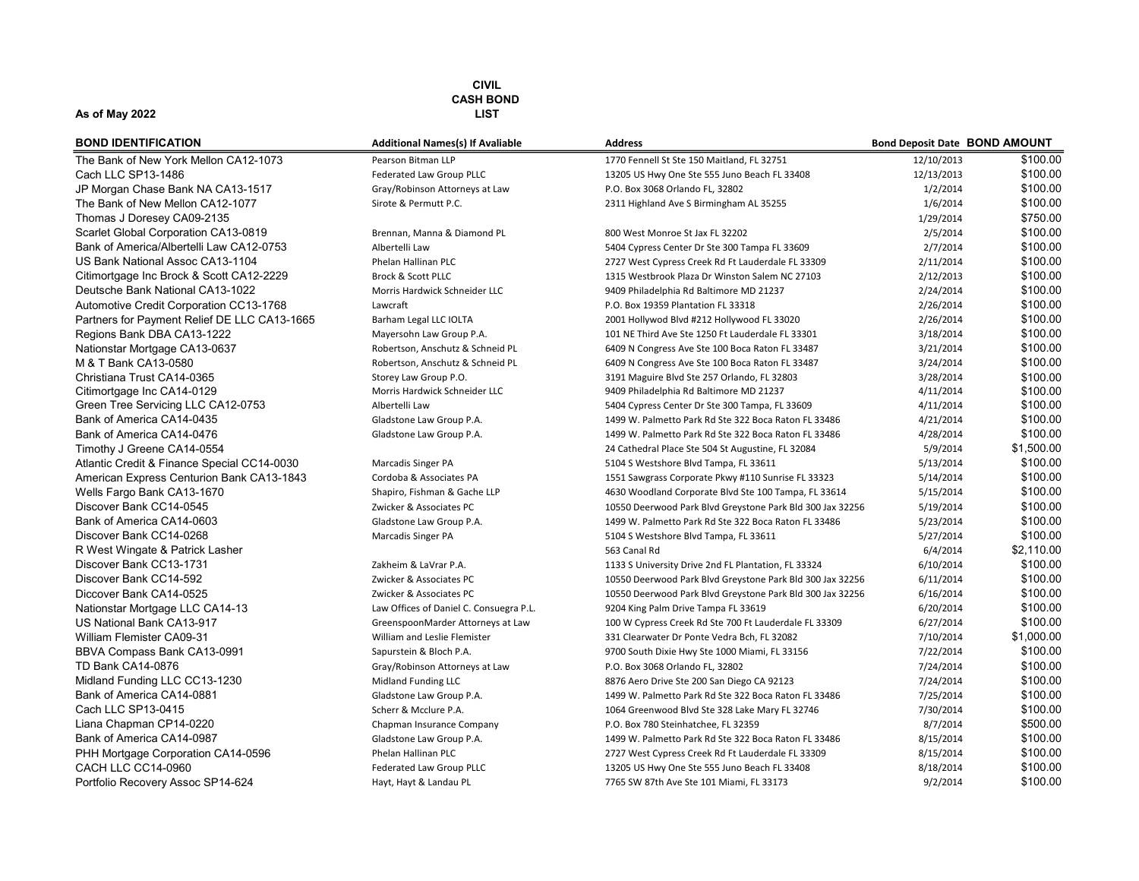#### As of May 2022 LIST

| <b>BOND IDENTIFICATION</b>                  |
|---------------------------------------------|
| The Bank of New York Mellon CA12-1073       |
| Cach LLC SP13-1486                          |
| JP Morgan Chase Bank NA CA13-1517           |
| The Bank of New Mellon CA12-1077            |
| Thomas J Doresey CA09-2135                  |
| Scarlet Global Corporation CA13-0819        |
| Bank of America/Albertelli Law CA12-0753    |
| US Bank National Assoc CA13-1104            |
| Citimortgage Inc Brock & Scott CA12-2229    |
| Deutsche Bank National CA13-1022            |
| Automotive Credit Corporation CC13-1768     |
| Partners for Payment Relief DE LLC CA13-166 |
| Regions Bank DBA CA13-1222                  |
| Nationstar Mortgage CA13-0637               |
| M & T Bank CA13-0580                        |
| Christiana Trust CA14-0365                  |
| Citimortgage Inc CA14-0129                  |
| Green Tree Servicing LLC CA12-0753          |
| Bank of America CA14-0435                   |
| Bank of America CA14-0476                   |
| Timothy J Greene CA14-0554                  |
| Atlantic Credit & Finance Special CC14-0030 |
| American Express Centurion Bank CA13-1843   |
| Wells Fargo Bank CA13-1670                  |
| Discover Bank CC14-0545                     |
| Bank of America CA14-0603                   |
| Discover Bank CC14-0268                     |
| R West Wingate & Patrick Lasher             |
| Discover Bank CC13-1731                     |
| Discover Bank CC14-592                      |
| Diccover Bank CA14-0525                     |
| Nationstar Mortgage LLC CA14-13             |
| US National Bank CA13-917                   |
| William Flemister CA09-31                   |
| BBVA Compass Bank CA13-0991                 |
| TD Bank CA14-0876                           |
| Midland Funding LLC CC13-1230               |
| Bank of America CA14-0881                   |
| Cach LLC SP13-0415                          |
| Liana Chapman CP14-0220                     |
| Bank of America CA14-0987                   |
| PHH Mortgage Corporation CA14-0596          |
| CACH LLC CC14-0960                          |
| Portfolio Recovery Assoc SP14-624           |

| <b>BOND IDENTIFICATION</b>                   | <b>Additional Names(s) If Avaliable</b> | <b>Address</b>                                            | <b>Bond Deposit Date BOND AMOUNT</b> |            |
|----------------------------------------------|-----------------------------------------|-----------------------------------------------------------|--------------------------------------|------------|
| The Bank of New York Mellon CA12-1073        | Pearson Bitman LLP                      | 1770 Fennell St Ste 150 Maitland, FL 32751                | 12/10/2013                           | \$100.00   |
| Cach LLC SP13-1486                           | Federated Law Group PLLC                | 13205 US Hwy One Ste 555 Juno Beach FL 33408              | 12/13/2013                           | \$100.00   |
| JP Morgan Chase Bank NA CA13-1517            | Gray/Robinson Attorneys at Law          | P.O. Box 3068 Orlando FL, 32802                           | 1/2/2014                             | \$100.00   |
| The Bank of New Mellon CA12-1077             | Sirote & Permutt P.C.                   | 2311 Highland Ave S Birmingham AL 35255                   | 1/6/2014                             | \$100.00   |
| Thomas J Doresey CA09-2135                   |                                         |                                                           | 1/29/2014                            | \$750.00   |
| Scarlet Global Corporation CA13-0819         | Brennan, Manna & Diamond PL             | 800 West Monroe St Jax FL 32202                           | 2/5/2014                             | \$100.00   |
| Bank of America/Albertelli Law CA12-0753     | Albertelli Law                          | 5404 Cypress Center Dr Ste 300 Tampa FL 33609             | 2/7/2014                             | \$100.00   |
| US Bank National Assoc CA13-1104             | Phelan Hallinan PLC                     | 2727 West Cypress Creek Rd Ft Lauderdale FL 33309         | 2/11/2014                            | \$100.00   |
| Citimortgage Inc Brock & Scott CA12-2229     | <b>Brock &amp; Scott PLLC</b>           | 1315 Westbrook Plaza Dr Winston Salem NC 27103            | 2/12/2013                            | \$100.00   |
| Deutsche Bank National CA13-1022             | Morris Hardwick Schneider LLC           | 9409 Philadelphia Rd Baltimore MD 21237                   | 2/24/2014                            | \$100.00   |
| Automotive Credit Corporation CC13-1768      | Lawcraft                                | P.O. Box 19359 Plantation FL 33318                        | 2/26/2014                            | \$100.00   |
| Partners for Payment Relief DE LLC CA13-1665 | Barham Legal LLC IOLTA                  | 2001 Hollywod Blvd #212 Hollywood FL 33020                | 2/26/2014                            | \$100.00   |
| Regions Bank DBA CA13-1222                   | Mayersohn Law Group P.A.                | 101 NE Third Ave Ste 1250 Ft Lauderdale FL 33301          | 3/18/2014                            | \$100.00   |
| Nationstar Mortgage CA13-0637                | Robertson, Anschutz & Schneid PL        | 6409 N Congress Ave Ste 100 Boca Raton FL 33487           | 3/21/2014                            | \$100.00   |
| M & T Bank CA13-0580                         | Robertson, Anschutz & Schneid PL        | 6409 N Congress Ave Ste 100 Boca Raton FL 33487           | 3/24/2014                            | \$100.00   |
| Christiana Trust CA14-0365                   | Storey Law Group P.O.                   | 3191 Maguire Blvd Ste 257 Orlando, FL 32803               | 3/28/2014                            | \$100.00   |
| Citimortgage Inc CA14-0129                   | Morris Hardwick Schneider LLC           | 9409 Philadelphia Rd Baltimore MD 21237                   | 4/11/2014                            | \$100.00   |
| Green Tree Servicing LLC CA12-0753           | Albertelli Law                          | 5404 Cypress Center Dr Ste 300 Tampa, FL 33609            | 4/11/2014                            | \$100.00   |
| Bank of America CA14-0435                    | Gladstone Law Group P.A.                | 1499 W. Palmetto Park Rd Ste 322 Boca Raton FL 33486      | 4/21/2014                            | \$100.00   |
| Bank of America CA14-0476                    | Gladstone Law Group P.A.                | 1499 W. Palmetto Park Rd Ste 322 Boca Raton FL 33486      | 4/28/2014                            | \$100.00   |
| Timothy J Greene CA14-0554                   |                                         | 24 Cathedral Place Ste 504 St Augustine, FL 32084         | 5/9/2014                             | \$1,500.00 |
| Atlantic Credit & Finance Special CC14-0030  | Marcadis Singer PA                      | 5104 S Westshore Blvd Tampa, FL 33611                     | 5/13/2014                            | \$100.00   |
| American Express Centurion Bank CA13-1843    | Cordoba & Associates PA                 | 1551 Sawgrass Corporate Pkwy #110 Sunrise FL 33323        | 5/14/2014                            | \$100.00   |
| Wells Fargo Bank CA13-1670                   | Shapiro, Fishman & Gache LLP            | 4630 Woodland Corporate Blvd Ste 100 Tampa, FL 33614      | 5/15/2014                            | \$100.00   |
| Discover Bank CC14-0545                      | Zwicker & Associates PC                 | 10550 Deerwood Park Blvd Greystone Park Bld 300 Jax 32256 | 5/19/2014                            | \$100.00   |
| Bank of America CA14-0603                    | Gladstone Law Group P.A.                | 1499 W. Palmetto Park Rd Ste 322 Boca Raton FL 33486      | 5/23/2014                            | \$100.00   |
| Discover Bank CC14-0268                      | Marcadis Singer PA                      | 5104 S Westshore Blvd Tampa, FL 33611                     | 5/27/2014                            | \$100.00   |
| R West Wingate & Patrick Lasher              |                                         | 563 Canal Rd                                              | 6/4/2014                             | \$2,110.00 |
| Discover Bank CC13-1731                      | Zakheim & LaVrar P.A.                   | 1133 S University Drive 2nd FL Plantation, FL 33324       | 6/10/2014                            | \$100.00   |
| Discover Bank CC14-592                       | Zwicker & Associates PC                 | 10550 Deerwood Park Blvd Greystone Park Bld 300 Jax 32256 | 6/11/2014                            | \$100.00   |
| Diccover Bank CA14-0525                      | Zwicker & Associates PC                 | 10550 Deerwood Park Blvd Greystone Park Bld 300 Jax 32256 | 6/16/2014                            | \$100.00   |
| Nationstar Mortgage LLC CA14-13              | Law Offices of Daniel C. Consuegra P.L. | 9204 King Palm Drive Tampa FL 33619                       | 6/20/2014                            | \$100.00   |
| US National Bank CA13-917                    | GreenspoonMarder Attorneys at Law       | 100 W Cypress Creek Rd Ste 700 Ft Lauderdale FL 33309     | 6/27/2014                            | \$100.00   |
| <b>William Flemister CA09-31</b>             | William and Leslie Flemister            | 331 Clearwater Dr Ponte Vedra Bch, FL 32082               | 7/10/2014                            | \$1,000.00 |
| BBVA Compass Bank CA13-0991                  | Sapurstein & Bloch P.A.                 | 9700 South Dixie Hwy Ste 1000 Miami, FL 33156             | 7/22/2014                            | \$100.00   |
| TD Bank CA14-0876                            | Gray/Robinson Attorneys at Law          | P.O. Box 3068 Orlando FL, 32802                           | 7/24/2014                            | \$100.00   |
| Midland Funding LLC CC13-1230                | Midland Funding LLC                     | 8876 Aero Drive Ste 200 San Diego CA 92123                | 7/24/2014                            | \$100.00   |
| Bank of America CA14-0881                    | Gladstone Law Group P.A.                | 1499 W. Palmetto Park Rd Ste 322 Boca Raton FL 33486      | 7/25/2014                            | \$100.00   |
| Cach LLC SP13-0415                           | Scherr & Mcclure P.A.                   | 1064 Greenwood Blvd Ste 328 Lake Mary FL 32746            | 7/30/2014                            | \$100.00   |
| Liana Chapman CP14-0220                      | Chapman Insurance Company               | P.O. Box 780 Steinhatchee, FL 32359                       | 8/7/2014                             | \$500.00   |
| Bank of America CA14-0987                    | Gladstone Law Group P.A.                | 1499 W. Palmetto Park Rd Ste 322 Boca Raton FL 33486      | 8/15/2014                            | \$100.00   |
| PHH Mortgage Corporation CA14-0596           | Phelan Hallinan PLC                     | 2727 West Cypress Creek Rd Ft Lauderdale FL 33309         | 8/15/2014                            | \$100.00   |
| CACH LLC CC14-0960                           | Federated Law Group PLLC                | 13205 US Hwy One Ste 555 Juno Beach FL 33408              | 8/18/2014                            | \$100.00   |
| Portfolio Recovery Assoc SP14-624            | Hayt, Hayt & Landau PL                  | 7765 SW 87th Ave Ste 101 Miami, FL 33173                  | 9/2/2014                             | \$100.00   |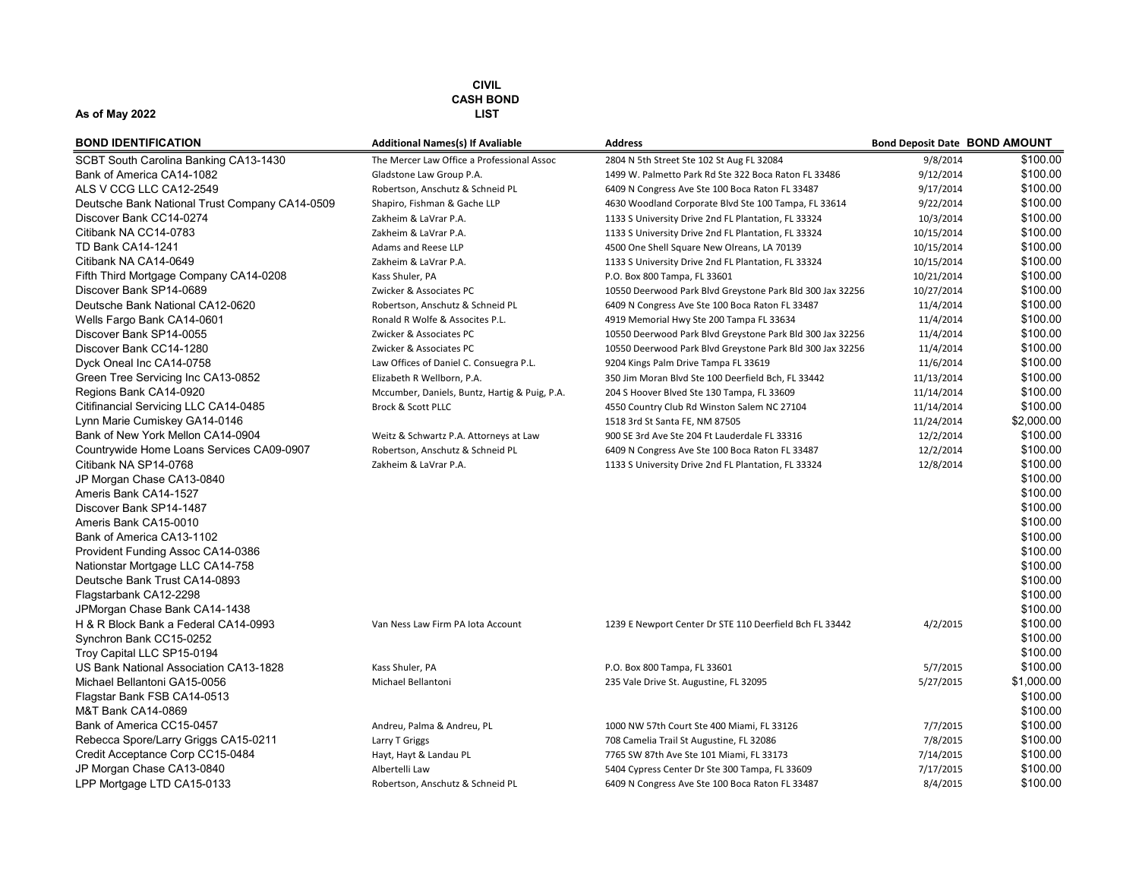| <b>BOND IDENTIFICATION</b>                     | <b>Additional Names(s) If Avaliable</b>       | <b>Address</b>                                            | <b>Bond Deposit Date BOND AMOUNT</b> |            |
|------------------------------------------------|-----------------------------------------------|-----------------------------------------------------------|--------------------------------------|------------|
| SCBT South Carolina Banking CA13-1430          | The Mercer Law Office a Professional Assoc    | 2804 N 5th Street Ste 102 St Aug FL 32084                 | 9/8/2014                             | \$100.00   |
| Bank of America CA14-1082                      | Gladstone Law Group P.A.                      | 1499 W. Palmetto Park Rd Ste 322 Boca Raton FL 33486      | 9/12/2014                            | \$100.00   |
| ALS V CCG LLC CA12-2549                        | Robertson, Anschutz & Schneid PL              | 6409 N Congress Ave Ste 100 Boca Raton FL 33487           | 9/17/2014                            | \$100.00   |
| Deutsche Bank National Trust Company CA14-0509 | Shapiro, Fishman & Gache LLP                  | 4630 Woodland Corporate Blvd Ste 100 Tampa, FL 33614      | 9/22/2014                            | \$100.00   |
| Discover Bank CC14-0274                        | Zakheim & LaVrar P.A.                         | 1133 S University Drive 2nd FL Plantation, FL 33324       | 10/3/2014                            | \$100.00   |
| Citibank NA CC14-0783                          | Zakheim & LaVrar P.A.                         | 1133 S University Drive 2nd FL Plantation, FL 33324       | 10/15/2014                           | \$100.00   |
| <b>TD Bank CA14-1241</b>                       | Adams and Reese LLP                           | 4500 One Shell Square New Olreans, LA 70139               | 10/15/2014                           | \$100.00   |
| Citibank NA CA14-0649                          | Zakheim & LaVrar P.A.                         | 1133 S University Drive 2nd FL Plantation, FL 33324       | 10/15/2014                           | \$100.00   |
| Fifth Third Mortgage Company CA14-0208         | Kass Shuler, PA                               | P.O. Box 800 Tampa, FL 33601                              | 10/21/2014                           | \$100.00   |
| Discover Bank SP14-0689                        | Zwicker & Associates PC                       | 10550 Deerwood Park Blvd Greystone Park Bld 300 Jax 32256 | 10/27/2014                           | \$100.00   |
| Deutsche Bank National CA12-0620               | Robertson, Anschutz & Schneid PL              | 6409 N Congress Ave Ste 100 Boca Raton FL 33487           | 11/4/2014                            | \$100.00   |
| Wells Fargo Bank CA14-0601                     | Ronald R Wolfe & Assocites P.L.               | 4919 Memorial Hwy Ste 200 Tampa FL 33634                  | 11/4/2014                            | \$100.00   |
| Discover Bank SP14-0055                        | Zwicker & Associates PC                       | 10550 Deerwood Park Blvd Greystone Park Bld 300 Jax 32256 | 11/4/2014                            | \$100.00   |
| Discover Bank CC14-1280                        | Zwicker & Associates PC                       | 10550 Deerwood Park Blvd Greystone Park Bld 300 Jax 32256 | 11/4/2014                            | \$100.00   |
| Dyck Oneal Inc CA14-0758                       | Law Offices of Daniel C. Consuegra P.L.       | 9204 Kings Palm Drive Tampa FL 33619                      | 11/6/2014                            | \$100.00   |
| Green Tree Servicing Inc CA13-0852             | Elizabeth R Wellborn, P.A.                    | 350 Jim Moran Blvd Ste 100 Deerfield Bch, FL 33442        | 11/13/2014                           | \$100.00   |
| Regions Bank CA14-0920                         | Mccumber, Daniels, Buntz, Hartig & Puig, P.A. | 204 S Hoover Blved Ste 130 Tampa, FL 33609                | 11/14/2014                           | \$100.00   |
| Citifinancial Servicing LLC CA14-0485          | Brock & Scott PLLC                            | 4550 Country Club Rd Winston Salem NC 27104               | 11/14/2014                           | \$100.00   |
| Lynn Marie Cumiskey GA14-0146                  |                                               | 1518 3rd St Santa FE, NM 87505                            | 11/24/2014                           | \$2,000.00 |
| Bank of New York Mellon CA14-0904              | Weitz & Schwartz P.A. Attorneys at Law        | 900 SE 3rd Ave Ste 204 Ft Lauderdale FL 33316             | 12/2/2014                            | \$100.00   |
| Countrywide Home Loans Services CA09-0907      | Robertson, Anschutz & Schneid PL              | 6409 N Congress Ave Ste 100 Boca Raton FL 33487           | 12/2/2014                            | \$100.00   |
| Citibank NA SP14-0768                          | Zakheim & LaVrar P.A.                         | 1133 S University Drive 2nd FL Plantation, FL 33324       | 12/8/2014                            | \$100.00   |
| JP Morgan Chase CA13-0840                      |                                               |                                                           |                                      | \$100.00   |
| Ameris Bank CA14-1527                          |                                               |                                                           |                                      | \$100.00   |
| Discover Bank SP14-1487                        |                                               |                                                           |                                      | \$100.00   |
| Ameris Bank CA15-0010                          |                                               |                                                           |                                      | \$100.00   |
| Bank of America CA13-1102                      |                                               |                                                           |                                      | \$100.00   |
| Provident Funding Assoc CA14-0386              |                                               |                                                           |                                      | \$100.00   |
| Nationstar Mortgage LLC CA14-758               |                                               |                                                           |                                      | \$100.00   |
| Deutsche Bank Trust CA14-0893                  |                                               |                                                           |                                      | \$100.00   |
| Flagstarbank CA12-2298                         |                                               |                                                           |                                      | \$100.00   |
| JPMorgan Chase Bank CA14-1438                  |                                               |                                                           |                                      | \$100.00   |
| H & R Block Bank a Federal CA14-0993           | Van Ness Law Firm PA lota Account             | 1239 E Newport Center Dr STE 110 Deerfield Bch FL 33442   | 4/2/2015                             | \$100.00   |
| Synchron Bank CC15-0252                        |                                               |                                                           |                                      | \$100.00   |
| Troy Capital LLC SP15-0194                     |                                               |                                                           |                                      | \$100.00   |
| US Bank National Association CA13-1828         | Kass Shuler, PA                               | P.O. Box 800 Tampa, FL 33601                              | 5/7/2015                             | \$100.00   |
| Michael Bellantoni GA15-0056                   | Michael Bellantoni                            | 235 Vale Drive St. Augustine, FL 32095                    | 5/27/2015                            | \$1,000.00 |
| Flagstar Bank FSB CA14-0513                    |                                               |                                                           |                                      | \$100.00   |
| M&T Bank CA14-0869                             |                                               |                                                           |                                      | \$100.00   |
| Bank of America CC15-0457                      | Andreu, Palma & Andreu, PL                    | 1000 NW 57th Court Ste 400 Miami, FL 33126                | 7/7/2015                             | \$100.00   |
| Rebecca Spore/Larry Griggs CA15-0211           | Larry T Griggs                                | 708 Camelia Trail St Augustine, FL 32086                  | 7/8/2015                             | \$100.00   |
| Credit Acceptance Corp CC15-0484               | Hayt, Hayt & Landau PL                        | 7765 SW 87th Ave Ste 101 Miami, FL 33173                  | 7/14/2015                            | \$100.00   |
| JP Morgan Chase CA13-0840                      | Albertelli Law                                | 5404 Cypress Center Dr Ste 300 Tampa, FL 33609            | 7/17/2015                            | \$100.00   |
| LPP Mortgage LTD CA15-0133                     | Robertson, Anschutz & Schneid PL              | 6409 N Congress Ave Ste 100 Boca Raton FL 33487           | 8/4/2015                             | \$100.00   |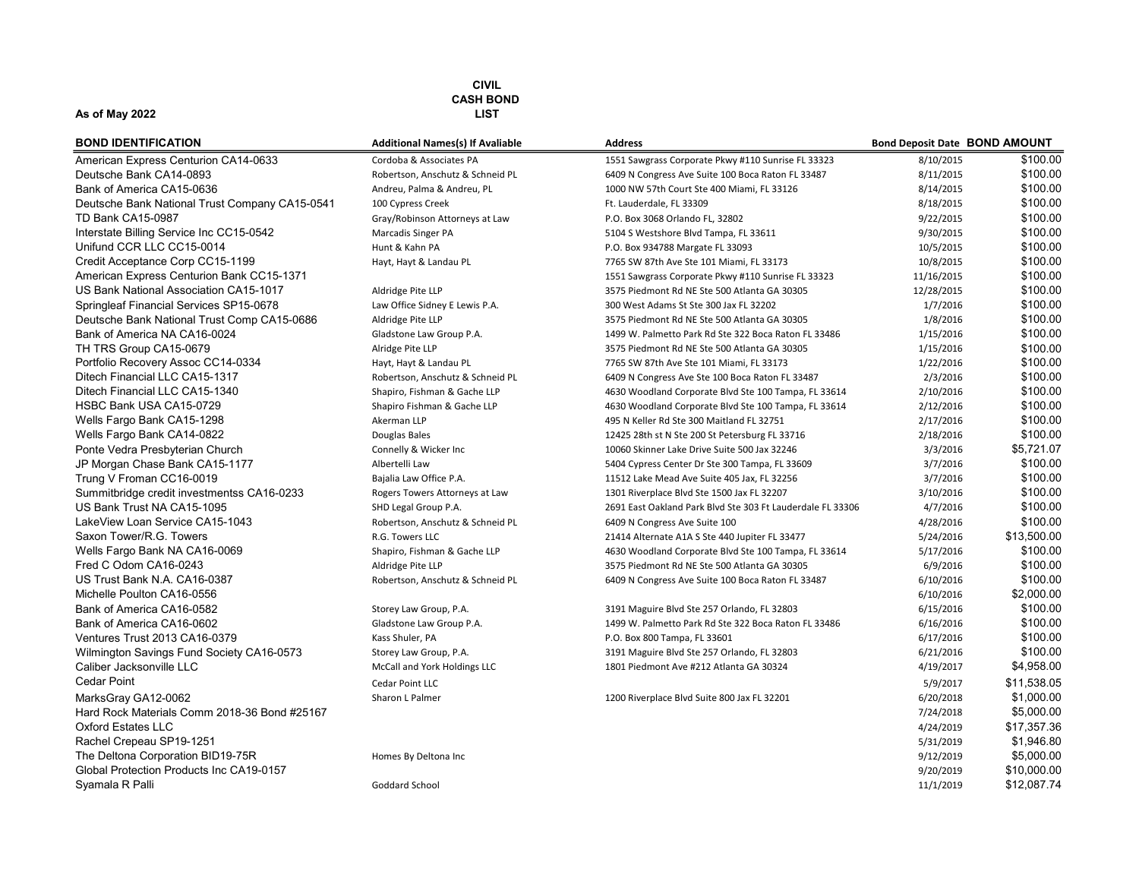#### As of May 2022 LIST

| <b>BOND IDENTIFICATION</b>                     |
|------------------------------------------------|
| American Express Centurion CA14-0633           |
| Deutsche Bank CA14-0893                        |
| Bank of America CA15-0636                      |
| Deutsche Bank National Trust Company CA15-0541 |
| TD Bank CA15-0987                              |
| Interstate Billing Service Inc CC15-0542       |
| Unifund CCR LLC CC15-0014                      |
| Credit Acceptance Corp CC15-1199               |
| American Express Centurion Bank CC15-1371      |
| US Bank National Association CA15-1017         |
| Springleaf Financial Services SP15-0678        |
| Deutsche Bank National Trust Comp CA15-0686    |
| Bank of America NA CA16-0024                   |
| TH TRS Group CA15-0679                         |
| Portfolio Recovery Assoc CC14-0334             |
| Ditech Financial LLC CA15-1317                 |
| Ditech Financial LLC CA15-1340                 |
| HSBC Bank USA CA15-0729                        |
| Wells Fargo Bank CA15-1298                     |
| Wells Fargo Bank CA14-0822                     |
| Ponte Vedra Presbyterian Church                |
| JP Morgan Chase Bank CA15-1177                 |
| Trung V Froman CC16-0019                       |
| Summitbridge credit investmentss CA16-0233     |
| US Bank Trust NA CA15-1095                     |
| LakeView Loan Service CA15-1043                |
| Saxon Tower/R.G. Towers                        |
| Wells Fargo Bank NA CA16-0069                  |
| Fred C Odom CA16-0243                          |
| US Trust Bank N.A. CA16-0387                   |
| Michelle Poulton CA16-0556                     |
| Bank of America CA16-0582                      |
| Bank of America CA16-0602                      |
| Ventures Trust 2013 CA16-0379                  |
| Wilmington Savings Fund Society CA16-0573      |
| Caliber Jacksonville LLC                       |
| Cedar Point                                    |
| MarksGray GA12-0062                            |
| Hard Rock Materials Comm 2018-36 Bond #25167   |
| <b>Oxford Estates LLC</b>                      |
| Rachel Crepeau SP19-1251                       |
| The Deltona Corporation BID19-75R              |
| Global Protection Products Inc CA19-0157       |
| Syamala R Palli                                |

| <b>BOND IDENTIFICATION</b>                     | <b>Additional Names(s) If Avaliable</b> | <b>Address</b>                                             | <b>Bond Deposit Date BOND AMOUNT</b> |             |
|------------------------------------------------|-----------------------------------------|------------------------------------------------------------|--------------------------------------|-------------|
| American Express Centurion CA14-0633           | Cordoba & Associates PA                 | 1551 Sawgrass Corporate Pkwy #110 Sunrise FL 33323         | 8/10/2015                            | \$100.00    |
| Deutsche Bank CA14-0893                        | Robertson, Anschutz & Schneid PL        | 6409 N Congress Ave Suite 100 Boca Raton FL 33487          | 8/11/2015                            | \$100.00    |
| Bank of America CA15-0636                      | Andreu, Palma & Andreu, PL              | 1000 NW 57th Court Ste 400 Miami, FL 33126                 | 8/14/2015                            | \$100.00    |
| Deutsche Bank National Trust Company CA15-0541 | 100 Cypress Creek                       | Ft. Lauderdale, FL 33309                                   | 8/18/2015                            | \$100.00    |
| TD Bank CA15-0987                              | Gray/Robinson Attorneys at Law          | P.O. Box 3068 Orlando FL, 32802                            | 9/22/2015                            | \$100.00    |
| Interstate Billing Service Inc CC15-0542       | Marcadis Singer PA                      | 5104 S Westshore Blvd Tampa, FL 33611                      | 9/30/2015                            | \$100.00    |
| Unifund CCR LLC CC15-0014                      | Hunt & Kahn PA                          | P.O. Box 934788 Margate FL 33093                           | 10/5/2015                            | \$100.00    |
| Credit Acceptance Corp CC15-1199               | Hayt, Hayt & Landau PL                  | 7765 SW 87th Ave Ste 101 Miami, FL 33173                   | 10/8/2015                            | \$100.00    |
| American Express Centurion Bank CC15-1371      |                                         | 1551 Sawgrass Corporate Pkwy #110 Sunrise FL 33323         | 11/16/2015                           | \$100.00    |
| US Bank National Association CA15-1017         | Aldridge Pite LLP                       | 3575 Piedmont Rd NE Ste 500 Atlanta GA 30305               | 12/28/2015                           | \$100.00    |
| Springleaf Financial Services SP15-0678        | Law Office Sidney E Lewis P.A.          | 300 West Adams St Ste 300 Jax FL 32202                     | 1/7/2016                             | \$100.00    |
| Deutsche Bank National Trust Comp CA15-0686    | Aldridge Pite LLP                       | 3575 Piedmont Rd NE Ste 500 Atlanta GA 30305               | 1/8/2016                             | \$100.00    |
| Bank of America NA CA16-0024                   | Gladstone Law Group P.A.                | 1499 W. Palmetto Park Rd Ste 322 Boca Raton FL 33486       | 1/15/2016                            | \$100.00    |
| TH TRS Group CA15-0679                         | Alridge Pite LLP                        | 3575 Piedmont Rd NE Ste 500 Atlanta GA 30305               | 1/15/2016                            | \$100.00    |
| Portfolio Recovery Assoc CC14-0334             | Hayt, Hayt & Landau PL                  | 7765 SW 87th Ave Ste 101 Miami, FL 33173                   | 1/22/2016                            | \$100.00    |
| Ditech Financial LLC CA15-1317                 | Robertson, Anschutz & Schneid PL        | 6409 N Congress Ave Ste 100 Boca Raton FL 33487            | 2/3/2016                             | \$100.00    |
| Ditech Financial LLC CA15-1340                 | Shapiro, Fishman & Gache LLP            | 4630 Woodland Corporate Blvd Ste 100 Tampa, FL 33614       | 2/10/2016                            | \$100.00    |
| HSBC Bank USA CA15-0729                        | Shapiro Fishman & Gache LLP             | 4630 Woodland Corporate Blvd Ste 100 Tampa, FL 33614       | 2/12/2016                            | \$100.00    |
| Wells Fargo Bank CA15-1298                     | Akerman LLP                             | 495 N Keller Rd Ste 300 Maitland FL 32751                  | 2/17/2016                            | \$100.00    |
| Wells Fargo Bank CA14-0822                     | Douglas Bales                           | 12425 28th st N Ste 200 St Petersburg FL 33716             | 2/18/2016                            | \$100.00    |
| Ponte Vedra Presbyterian Church                | Connelly & Wicker Inc                   | 10060 Skinner Lake Drive Suite 500 Jax 32246               | 3/3/2016                             | \$5,721.07  |
| JP Morgan Chase Bank CA15-1177                 | Albertelli Law                          | 5404 Cypress Center Dr Ste 300 Tampa, FL 33609             | 3/7/2016                             | \$100.00    |
| Trung V Froman CC16-0019                       | Bajalia Law Office P.A.                 | 11512 Lake Mead Ave Suite 405 Jax, FL 32256                | 3/7/2016                             | \$100.00    |
| Summitbridge credit investmentss CA16-0233     | Rogers Towers Attorneys at Law          | 1301 Riverplace Blvd Ste 1500 Jax FL 32207                 | 3/10/2016                            | \$100.00    |
| US Bank Trust NA CA15-1095                     | SHD Legal Group P.A.                    | 2691 East Oakland Park Blvd Ste 303 Ft Lauderdale FL 33306 | 4/7/2016                             | \$100.00    |
| LakeView Loan Service CA15-1043                | Robertson, Anschutz & Schneid PL        | 6409 N Congress Ave Suite 100                              | 4/28/2016                            | \$100.00    |
| Saxon Tower/R.G. Towers                        | R.G. Towers LLC                         | 21414 Alternate A1A S Ste 440 Jupiter FL 33477             | 5/24/2016                            | \$13,500.00 |
| Wells Fargo Bank NA CA16-0069                  | Shapiro, Fishman & Gache LLP            | 4630 Woodland Corporate Blvd Ste 100 Tampa, FL 33614       | 5/17/2016                            | \$100.00    |
| Fred C Odom CA16-0243                          | Aldridge Pite LLP                       | 3575 Piedmont Rd NE Ste 500 Atlanta GA 30305               | 6/9/2016                             | \$100.00    |
| US Trust Bank N.A. CA16-0387                   | Robertson, Anschutz & Schneid PL        | 6409 N Congress Ave Suite 100 Boca Raton FL 33487          | 6/10/2016                            | \$100.00    |
| Michelle Poulton CA16-0556                     |                                         |                                                            | 6/10/2016                            | \$2,000.00  |
| Bank of America CA16-0582                      | Storey Law Group, P.A.                  | 3191 Maguire Blvd Ste 257 Orlando, FL 32803                | 6/15/2016                            | \$100.00    |
| Bank of America CA16-0602                      | Gladstone Law Group P.A.                | 1499 W. Palmetto Park Rd Ste 322 Boca Raton FL 33486       | 6/16/2016                            | \$100.00    |
| Ventures Trust 2013 CA16-0379                  | Kass Shuler, PA                         | P.O. Box 800 Tampa, FL 33601                               | 6/17/2016                            | \$100.00    |
| Wilmington Savings Fund Society CA16-0573      | Storey Law Group, P.A.                  | 3191 Maguire Blvd Ste 257 Orlando, FL 32803                | 6/21/2016                            | \$100.00    |
| Caliber Jacksonville LLC                       | McCall and York Holdings LLC            | 1801 Piedmont Ave #212 Atlanta GA 30324                    | 4/19/2017                            | \$4,958.00  |
| <b>Cedar Point</b>                             | Cedar Point LLC                         |                                                            | 5/9/2017                             | \$11,538.05 |
| MarksGray GA12-0062                            | Sharon L Palmer                         | 1200 Riverplace Blvd Suite 800 Jax FL 32201                | 6/20/2018                            | \$1,000.00  |
| Hard Rock Materials Comm 2018-36 Bond #25167   |                                         |                                                            | 7/24/2018                            | \$5,000.00  |
| <b>Oxford Estates LLC</b>                      |                                         |                                                            | 4/24/2019                            | \$17.357.36 |
| Rachel Crepeau SP19-1251                       |                                         |                                                            | 5/31/2019                            | \$1,946.80  |
| The Deltona Corporation BID19-75R              | Homes By Deltona Inc                    |                                                            | 9/12/2019                            | \$5,000.00  |
| Global Protection Products Inc CA19-0157       |                                         |                                                            | 9/20/2019                            | \$10,000.00 |
| Svamala R Palli                                | Goddard School                          |                                                            | 11/1/2019                            | \$12.087.74 |